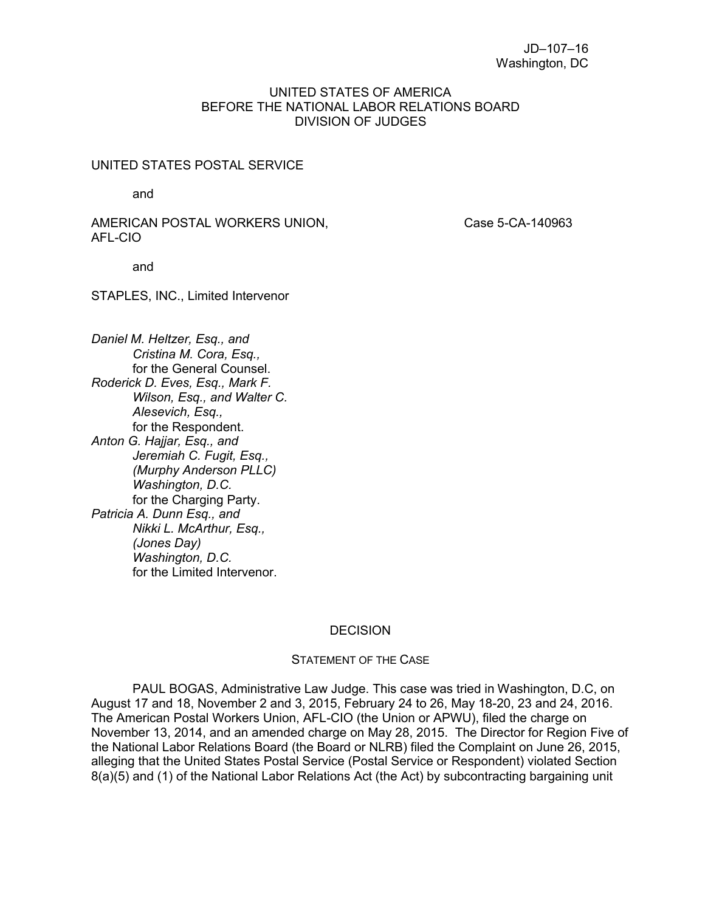#### UNITED STATES OF AMERICA BEFORE THE NATIONAL LABOR RELATIONS BOARD DIVISION OF JUDGES

#### UNITED STATES POSTAL SERVICE

and

#### AMERICAN POSTAL WORKERS UNION, Case 5-CA-140963 AFL-CIO

and

STAPLES, INC., Limited Intervenor

*Daniel M. Heltzer, Esq., and Cristina M. Cora, Esq.,* for the General Counsel. *Roderick D. Eves, Esq., Mark F. Wilson, Esq., and Walter C. Alesevich, Esq.,* for the Respondent. *Anton G. Hajjar, Esq., and Jeremiah C. Fugit, Esq., (Murphy Anderson PLLC) Washington, D.C.* for the Charging Party. *Patricia A. Dunn Esq., and Nikki L. McArthur, Esq., (Jones Day) Washington, D.C.* for the Limited Intervenor.

#### **DECISION**

#### STATEMENT OF THE CASE

PAUL BOGAS, Administrative Law Judge. This case was tried in Washington, D.C, on August 17 and 18, November 2 and 3, 2015, February 24 to 26, May 18-20, 23 and 24, 2016. The American Postal Workers Union, AFL-CIO (the Union or APWU), filed the charge on November 13, 2014, and an amended charge on May 28, 2015. The Director for Region Five of the National Labor Relations Board (the Board or NLRB) filed the Complaint on June 26, 2015, alleging that the United States Postal Service (Postal Service or Respondent) violated Section 8(a)(5) and (1) of the National Labor Relations Act (the Act) by subcontracting bargaining unit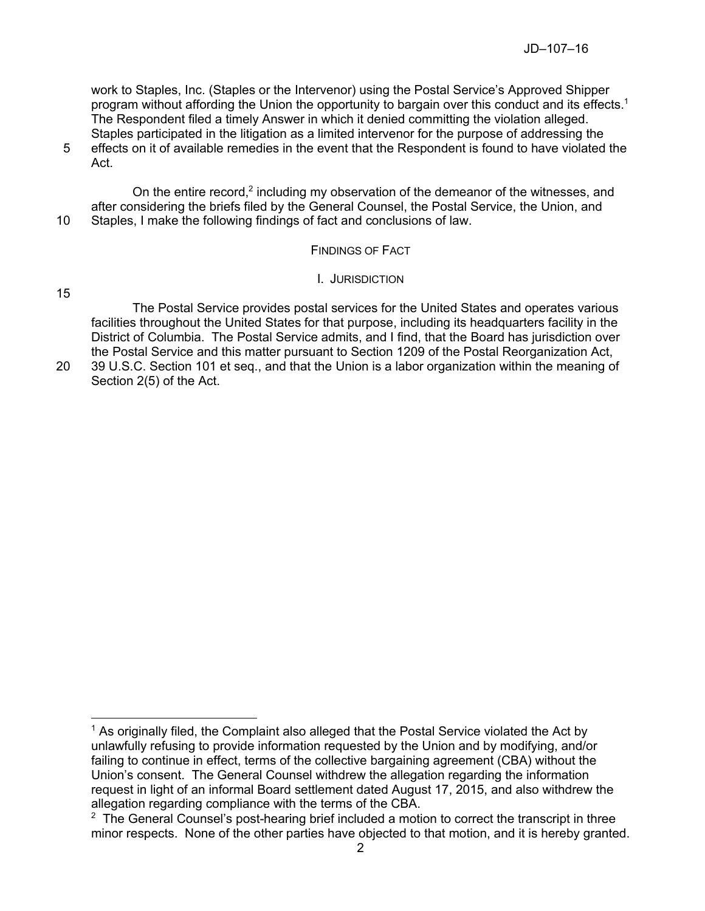work to Staples, Inc. (Staples or the Intervenor) using the Postal Service's Approved Shipper program without affording the Union the opportunity to bargain over this conduct and its effects.<sup>1</sup> The Respondent filed a timely Answer in which it denied committing the violation alleged. Staples participated in the litigation as a limited intervenor for the purpose of addressing the 5 effects on it of available remedies in the event that the Respondent is found to have violated the Act.

On the entire record, $2$  including my observation of the demeanor of the witnesses, and after considering the briefs filed by the General Counsel, the Postal Service, the Union, and 10 Staples, I make the following findings of fact and conclusions of law.

## FINDINGS OF FACT

#### I. JURISDICTION

15

 $\overline{a}$ 

The Postal Service provides postal services for the United States and operates various facilities throughout the United States for that purpose, including its headquarters facility in the District of Columbia. The Postal Service admits, and I find, that the Board has jurisdiction over the Postal Service and this matter pursuant to Section 1209 of the Postal Reorganization Act,

20 39 U.S.C. Section 101 et seq., and that the Union is a labor organization within the meaning of Section 2(5) of the Act.

<sup>1</sup> As originally filed, the Complaint also alleged that the Postal Service violated the Act by unlawfully refusing to provide information requested by the Union and by modifying, and/or failing to continue in effect, terms of the collective bargaining agreement (CBA) without the Union's consent. The General Counsel withdrew the allegation regarding the information request in light of an informal Board settlement dated August 17, 2015, and also withdrew the allegation regarding compliance with the terms of the CBA.

 $2$  The General Counsel's post-hearing brief included a motion to correct the transcript in three minor respects. None of the other parties have objected to that motion, and it is hereby granted.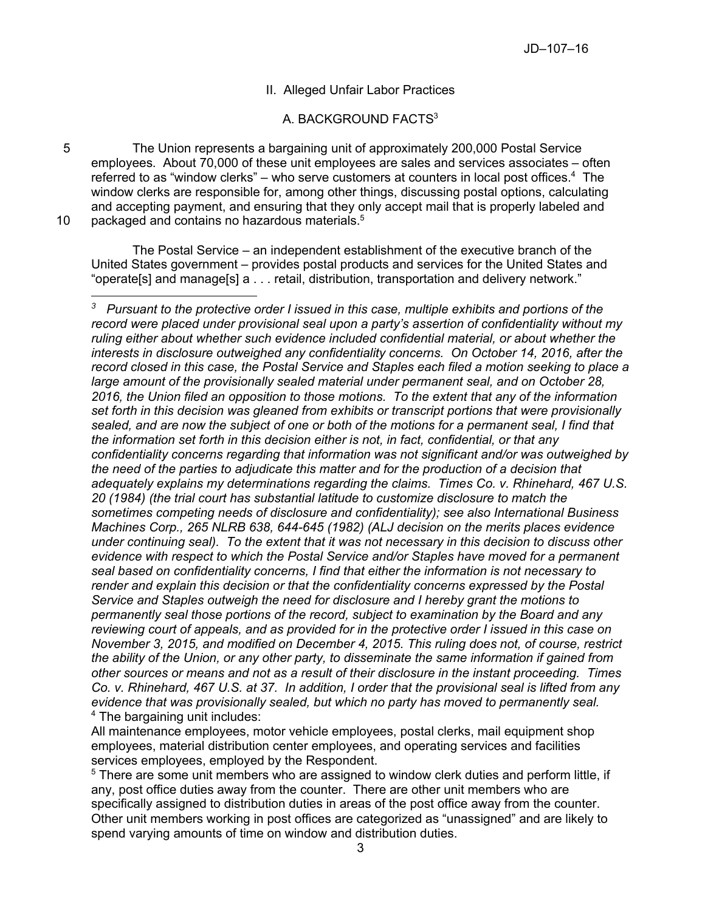# II. Alleged Unfair Labor Practices

# A. BACKGROUND FACTS<sup>3</sup>

5 The Union represents a bargaining unit of approximately 200,000 Postal Service employees. About 70,000 of these unit employees are sales and services associates – often referred to as "window clerks" – who serve customers at counters in local post offices.<sup>4</sup> The window clerks are responsible for, among other things, discussing postal options, calculating and accepting payment, and ensuring that they only accept mail that is properly labeled and 10 packaged and contains no hazardous materials.<sup>5</sup>

 $\overline{a}$ 

The Postal Service – an independent establishment of the executive branch of the United States government – provides postal products and services for the United States and "operate[s] and manage[s] a . . . retail, distribution, transportation and delivery network."

All maintenance employees, motor vehicle employees, postal clerks, mail equipment shop employees, material distribution center employees, and operating services and facilities services employees, employed by the Respondent.

<sup>5</sup> There are some unit members who are assigned to window clerk duties and perform little, if any, post office duties away from the counter. There are other unit members who are specifically assigned to distribution duties in areas of the post office away from the counter. Other unit members working in post offices are categorized as "unassigned" and are likely to spend varying amounts of time on window and distribution duties.

*<sup>3</sup> Pursuant to the protective order I issued in this case, multiple exhibits and portions of the record were placed under provisional seal upon a party's assertion of confidentiality without my ruling either about whether such evidence included confidential material, or about whether the interests in disclosure outweighed any confidentiality concerns. On October 14, 2016, after the record closed in this case, the Postal Service and Staples each filed a motion seeking to place a large amount of the provisionally sealed material under permanent seal, and on October 28, 2016, the Union filed an opposition to those motions. To the extent that any of the information set forth in this decision was gleaned from exhibits or transcript portions that were provisionally sealed, and are now the subject of one or both of the motions for a permanent seal, I find that the information set forth in this decision either is not, in fact, confidential, or that any confidentiality concerns regarding that information was not significant and/or was outweighed by the need of the parties to adjudicate this matter and for the production of a decision that adequately explains my determinations regarding the claims. Times Co. v. Rhinehard, 467 U.S. 20 (1984) (the trial court has substantial latitude to customize disclosure to match the sometimes competing needs of disclosure and confidentiality); see also International Business Machines Corp., 265 NLRB 638, 644-645 (1982) (ALJ decision on the merits places evidence under continuing seal). To the extent that it was not necessary in this decision to discuss other evidence with respect to which the Postal Service and/or Staples have moved for a permanent seal based on confidentiality concerns, I find that either the information is not necessary to render and explain this decision or that the confidentiality concerns expressed by the Postal Service and Staples outweigh the need for disclosure and I hereby grant the motions to permanently seal those portions of the record, subject to examination by the Board and any reviewing court of appeals, and as provided for in the protective order I issued in this case on November 3, 2015, and modified on December 4, 2015. This ruling does not, of course, restrict the ability of the Union, or any other party, to disseminate the same information if gained from other sources or means and not as a result of their disclosure in the instant proceeding. Times Co. v. Rhinehard, 467 U.S. at 37. In addition, I order that the provisional seal is lifted from any evidence that was provisionally sealed, but which no party has moved to permanently seal.* <sup>4</sup> The bargaining unit includes: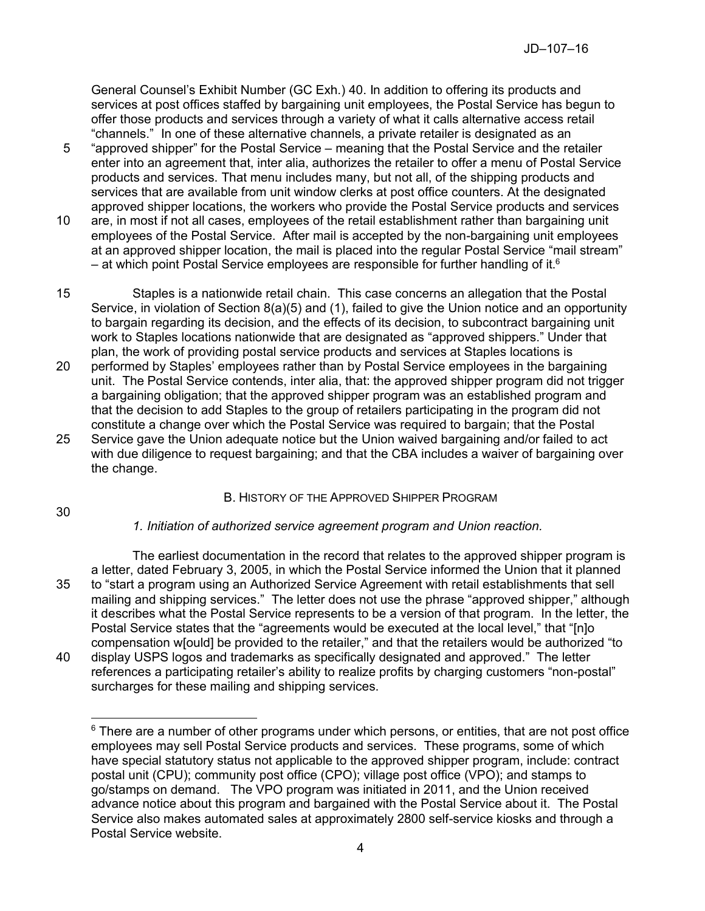General Counsel's Exhibit Number (GC Exh.) 40. In addition to offering its products and services at post offices staffed by bargaining unit employees, the Postal Service has begun to offer those products and services through a variety of what it calls alternative access retail "channels." In one of these alternative channels, a private retailer is designated as an

- 5 "approved shipper" for the Postal Service meaning that the Postal Service and the retailer enter into an agreement that, inter alia, authorizes the retailer to offer a menu of Postal Service products and services. That menu includes many, but not all, of the shipping products and services that are available from unit window clerks at post office counters. At the designated approved shipper locations, the workers who provide the Postal Service products and services
- 10 are, in most if not all cases, employees of the retail establishment rather than bargaining unit employees of the Postal Service. After mail is accepted by the non-bargaining unit employees at an approved shipper location, the mail is placed into the regular Postal Service "mail stream"  $-$  at which point Postal Service employees are responsible for further handling of it.<sup>6</sup>
- 15 Staples is a nationwide retail chain. This case concerns an allegation that the Postal Service, in violation of Section 8(a)(5) and (1), failed to give the Union notice and an opportunity to bargain regarding its decision, and the effects of its decision, to subcontract bargaining unit work to Staples locations nationwide that are designated as "approved shippers." Under that plan, the work of providing postal service products and services at Staples locations is
- 20 performed by Staples' employees rather than by Postal Service employees in the bargaining unit. The Postal Service contends, inter alia, that: the approved shipper program did not trigger a bargaining obligation; that the approved shipper program was an established program and that the decision to add Staples to the group of retailers participating in the program did not constitute a change over which the Postal Service was required to bargain; that the Postal
- 25 Service gave the Union adequate notice but the Union waived bargaining and/or failed to act with due diligence to request bargaining; and that the CBA includes a waiver of bargaining over the change.

# B. HISTORY OF THE APPROVED SHIPPER PROGRAM

30

 $\overline{a}$ 

# *1. Initiation of authorized service agreement program and Union reaction.*

The earliest documentation in the record that relates to the approved shipper program is a letter, dated February 3, 2005, in which the Postal Service informed the Union that it planned 35 to "start a program using an Authorized Service Agreement with retail establishments that sell mailing and shipping services." The letter does not use the phrase "approved shipper," although it describes what the Postal Service represents to be a version of that program. In the letter, the Postal Service states that the "agreements would be executed at the local level," that "[n]o compensation w[ould] be provided to the retailer," and that the retailers would be authorized "to 40 display USPS logos and trademarks as specifically designated and approved." The letter

references a participating retailer's ability to realize profits by charging customers "non-postal" surcharges for these mailing and shipping services.

 $6$  There are a number of other programs under which persons, or entities, that are not post office employees may sell Postal Service products and services. These programs, some of which have special statutory status not applicable to the approved shipper program, include: contract postal unit (CPU); community post office (CPO); village post office (VPO); and stamps to go/stamps on demand. The VPO program was initiated in 2011, and the Union received advance notice about this program and bargained with the Postal Service about it. The Postal Service also makes automated sales at approximately 2800 self-service kiosks and through a Postal Service website.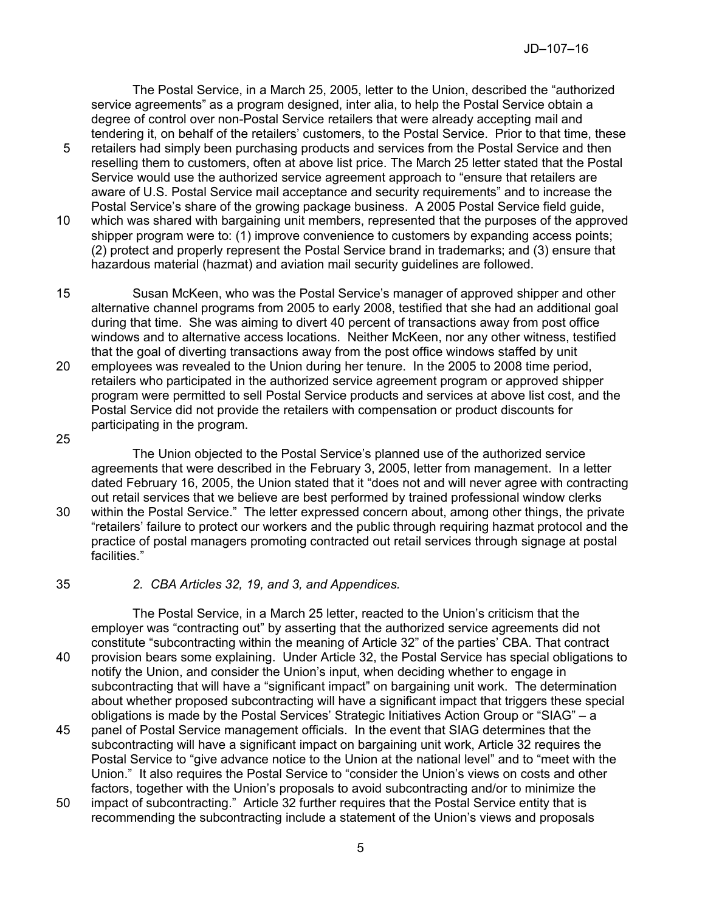The Postal Service, in a March 25, 2005, letter to the Union, described the "authorized service agreements" as a program designed, inter alia, to help the Postal Service obtain a degree of control over non-Postal Service retailers that were already accepting mail and tendering it, on behalf of the retailers' customers, to the Postal Service. Prior to that time, these

- 5 retailers had simply been purchasing products and services from the Postal Service and then reselling them to customers, often at above list price. The March 25 letter stated that the Postal Service would use the authorized service agreement approach to "ensure that retailers are aware of U.S. Postal Service mail acceptance and security requirements" and to increase the Postal Service's share of the growing package business. A 2005 Postal Service field guide,
- 10 which was shared with bargaining unit members, represented that the purposes of the approved shipper program were to: (1) improve convenience to customers by expanding access points; (2) protect and properly represent the Postal Service brand in trademarks; and (3) ensure that hazardous material (hazmat) and aviation mail security guidelines are followed.
- 15 Susan McKeen, who was the Postal Service's manager of approved shipper and other alternative channel programs from 2005 to early 2008, testified that she had an additional goal during that time. She was aiming to divert 40 percent of transactions away from post office windows and to alternative access locations. Neither McKeen, nor any other witness, testified that the goal of diverting transactions away from the post office windows staffed by unit
- 20 employees was revealed to the Union during her tenure. In the 2005 to 2008 time period, retailers who participated in the authorized service agreement program or approved shipper program were permitted to sell Postal Service products and services at above list cost, and the Postal Service did not provide the retailers with compensation or product discounts for participating in the program.
- 25

The Union objected to the Postal Service's planned use of the authorized service agreements that were described in the February 3, 2005, letter from management. In a letter dated February 16, 2005, the Union stated that it "does not and will never agree with contracting out retail services that we believe are best performed by trained professional window clerks

- 30 within the Postal Service." The letter expressed concern about, among other things, the private "retailers' failure to protect our workers and the public through requiring hazmat protocol and the practice of postal managers promoting contracted out retail services through signage at postal facilities."
- 35 *2. CBA Articles 32, 19, and 3, and Appendices.*

The Postal Service, in a March 25 letter, reacted to the Union's criticism that the employer was "contracting out" by asserting that the authorized service agreements did not constitute "subcontracting within the meaning of Article 32" of the parties' CBA. That contract 40 provision bears some explaining. Under Article 32, the Postal Service has special obligations to notify the Union, and consider the Union's input, when deciding whether to engage in subcontracting that will have a "significant impact" on bargaining unit work. The determination about whether proposed subcontracting will have a significant impact that triggers these special obligations is made by the Postal Services' Strategic Initiatives Action Group or "SIAG" – a

- 45 panel of Postal Service management officials. In the event that SIAG determines that the subcontracting will have a significant impact on bargaining unit work, Article 32 requires the Postal Service to "give advance notice to the Union at the national level" and to "meet with the Union." It also requires the Postal Service to "consider the Union's views on costs and other factors, together with the Union's proposals to avoid subcontracting and/or to minimize the
- 50 impact of subcontracting." Article 32 further requires that the Postal Service entity that is recommending the subcontracting include a statement of the Union's views and proposals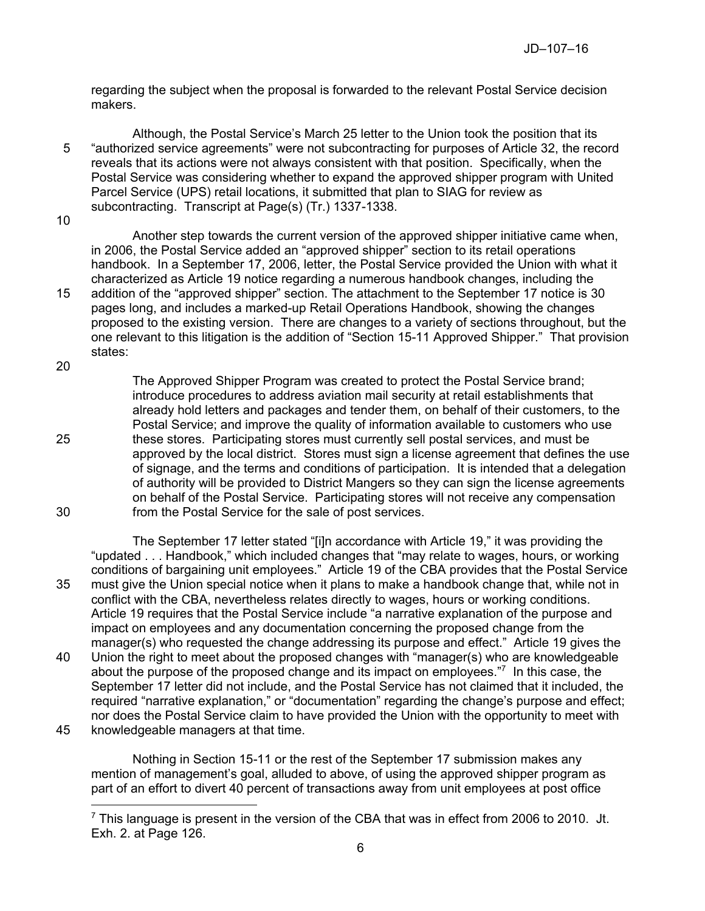regarding the subject when the proposal is forwarded to the relevant Postal Service decision makers.

Although, the Postal Service's March 25 letter to the Union took the position that its 5 "authorized service agreements" were not subcontracting for purposes of Article 32, the record reveals that its actions were not always consistent with that position. Specifically, when the Postal Service was considering whether to expand the approved shipper program with United Parcel Service (UPS) retail locations, it submitted that plan to SIAG for review as subcontracting. Transcript at Page(s) (Tr.) 1337-1338.

10

Another step towards the current version of the approved shipper initiative came when, in 2006, the Postal Service added an "approved shipper" section to its retail operations handbook. In a September 17, 2006, letter, the Postal Service provided the Union with what it characterized as Article 19 notice regarding a numerous handbook changes, including the 15 addition of the "approved shipper" section. The attachment to the September 17 notice is 30 pages long, and includes a marked-up Retail Operations Handbook, showing the changes

- proposed to the existing version. There are changes to a variety of sections throughout, but the one relevant to this litigation is the addition of "Section 15-11 Approved Shipper." That provision states:
- 20

The Approved Shipper Program was created to protect the Postal Service brand; introduce procedures to address aviation mail security at retail establishments that already hold letters and packages and tender them, on behalf of their customers, to the Postal Service; and improve the quality of information available to customers who use 25 these stores. Participating stores must currently sell postal services, and must be approved by the local district. Stores must sign a license agreement that defines the use of signage, and the terms and conditions of participation. It is intended that a delegation of authority will be provided to District Mangers so they can sign the license agreements on behalf of the Postal Service. Participating stores will not receive any compensation 30 from the Postal Service for the sale of post services.

The September 17 letter stated "[i]n accordance with Article 19," it was providing the "updated . . . Handbook," which included changes that "may relate to wages, hours, or working conditions of bargaining unit employees." Article 19 of the CBA provides that the Postal Service 35 must give the Union special notice when it plans to make a handbook change that, while not in conflict with the CBA, nevertheless relates directly to wages, hours or working conditions. Article 19 requires that the Postal Service include "a narrative explanation of the purpose and impact on employees and any documentation concerning the proposed change from the manager(s) who requested the change addressing its purpose and effect." Article 19 gives the 40 Union the right to meet about the proposed changes with "manager(s) who are knowledgeable about the purpose of the proposed change and its impact on employees."<sup>7</sup> In this case, the September 17 letter did not include, and the Postal Service has not claimed that it included, the required "narrative explanation," or "documentation" regarding the change's purpose and effect; nor does the Postal Service claim to have provided the Union with the opportunity to meet with

45 knowledgeable managers at that time.

Nothing in Section 15-11 or the rest of the September 17 submission makes any mention of management's goal, alluded to above, of using the approved shipper program as part of an effort to divert 40 percent of transactions away from unit employees at post office

 $7$  This language is present in the version of the CBA that was in effect from 2006 to 2010. Jt. Exh. 2. at Page 126.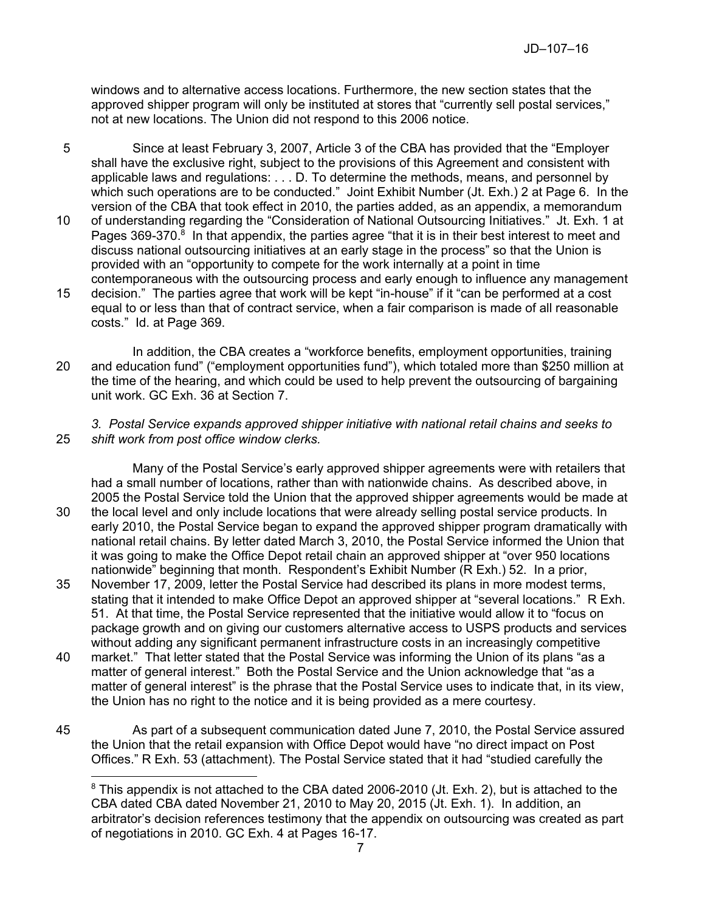windows and to alternative access locations. Furthermore, the new section states that the approved shipper program will only be instituted at stores that "currently sell postal services," not at new locations. The Union did not respond to this 2006 notice.

- 5 Since at least February 3, 2007, Article 3 of the CBA has provided that the "Employer shall have the exclusive right, subject to the provisions of this Agreement and consistent with applicable laws and regulations: . . . D. To determine the methods, means, and personnel by which such operations are to be conducted." Joint Exhibit Number (Jt. Exh.) 2 at Page 6. In the version of the CBA that took effect in 2010, the parties added, as an appendix, a memorandum
- 10 of understanding regarding the "Consideration of National Outsourcing Initiatives." Jt. Exh. 1 at Pages 369-370.<sup>8</sup> In that appendix, the parties agree "that it is in their best interest to meet and discuss national outsourcing initiatives at an early stage in the process" so that the Union is provided with an "opportunity to compete for the work internally at a point in time contemporaneous with the outsourcing process and early enough to influence any management
- 15 decision." The parties agree that work will be kept "in-house" if it "can be performed at a cost equal to or less than that of contract service, when a fair comparison is made of all reasonable costs." Id. at Page 369.
- In addition, the CBA creates a "workforce benefits, employment opportunities, training 20 and education fund" ("employment opportunities fund"), which totaled more than \$250 million at the time of the hearing, and which could be used to help prevent the outsourcing of bargaining unit work. GC Exh. 36 at Section 7.

# *3. Postal Service expands approved shipper initiative with national retail chains and seeks to*  25 *shift work from post office window clerks.*

Many of the Postal Service's early approved shipper agreements were with retailers that had a small number of locations, rather than with nationwide chains. As described above, in 2005 the Postal Service told the Union that the approved shipper agreements would be made at 30 the local level and only include locations that were already selling postal service products. In

- early 2010, the Postal Service began to expand the approved shipper program dramatically with national retail chains. By letter dated March 3, 2010, the Postal Service informed the Union that it was going to make the Office Depot retail chain an approved shipper at "over 950 locations nationwide" beginning that month. Respondent's Exhibit Number (R Exh.) 52. In a prior,
- 35 November 17, 2009, letter the Postal Service had described its plans in more modest terms, stating that it intended to make Office Depot an approved shipper at "several locations." R Exh. 51. At that time, the Postal Service represented that the initiative would allow it to "focus on package growth and on giving our customers alternative access to USPS products and services without adding any significant permanent infrastructure costs in an increasingly competitive
- 40 market." That letter stated that the Postal Service was informing the Union of its plans "as a matter of general interest." Both the Postal Service and the Union acknowledge that "as a matter of general interest" is the phrase that the Postal Service uses to indicate that, in its view, the Union has no right to the notice and it is being provided as a mere courtesy.
- 45 As part of a subsequent communication dated June 7, 2010, the Postal Service assured the Union that the retail expansion with Office Depot would have "no direct impact on Post Offices." R Exh. 53 (attachment). The Postal Service stated that it had "studied carefully the

 $\overline{a}$  $8$  This appendix is not attached to the CBA dated 2006-2010 (Jt. Exh. 2), but is attached to the CBA dated CBA dated November 21, 2010 to May 20, 2015 (Jt. Exh. 1). In addition, an arbitrator's decision references testimony that the appendix on outsourcing was created as part of negotiations in 2010. GC Exh. 4 at Pages 16-17.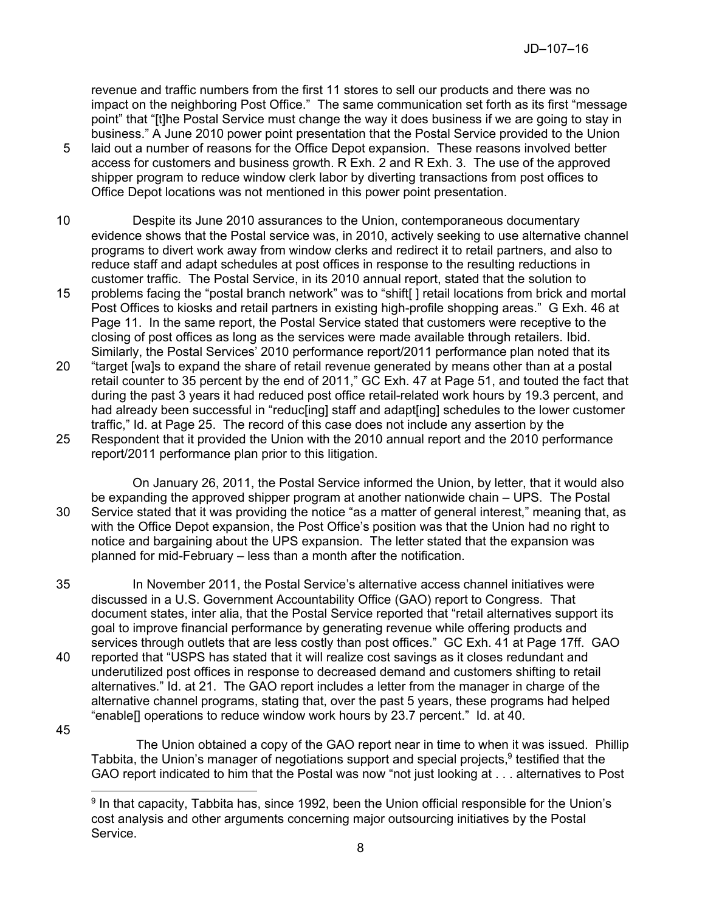revenue and traffic numbers from the first 11 stores to sell our products and there was no impact on the neighboring Post Office." The same communication set forth as its first "message point" that "[t]he Postal Service must change the way it does business if we are going to stay in business." A June 2010 power point presentation that the Postal Service provided to the Union 5 laid out a number of reasons for the Office Depot expansion. These reasons involved better

- access for customers and business growth. R Exh. 2 and R Exh. 3. The use of the approved shipper program to reduce window clerk labor by diverting transactions from post offices to Office Depot locations was not mentioned in this power point presentation.
- 10 Despite its June 2010 assurances to the Union, contemporaneous documentary evidence shows that the Postal service was, in 2010, actively seeking to use alternative channel programs to divert work away from window clerks and redirect it to retail partners, and also to reduce staff and adapt schedules at post offices in response to the resulting reductions in customer traffic. The Postal Service, in its 2010 annual report, stated that the solution to
- 15 problems facing the "postal branch network" was to "shift[ ] retail locations from brick and mortal Post Offices to kiosks and retail partners in existing high-profile shopping areas." G Exh. 46 at Page 11. In the same report, the Postal Service stated that customers were receptive to the closing of post offices as long as the services were made available through retailers. Ibid. Similarly, the Postal Services' 2010 performance report/2011 performance plan noted that its
- 20 "target [wa]s to expand the share of retail revenue generated by means other than at a postal retail counter to 35 percent by the end of 2011," GC Exh. 47 at Page 51, and touted the fact that during the past 3 years it had reduced post office retail-related work hours by 19.3 percent, and had already been successful in "reduc ing staff and adapt [ing] schedules to the lower customer traffic," Id. at Page 25. The record of this case does not include any assertion by the 25 Respondent that it provided the Union with the 2010 annual report and the 2010 performance
- report/2011 performance plan prior to this litigation.

On January 26, 2011, the Postal Service informed the Union, by letter, that it would also be expanding the approved shipper program at another nationwide chain – UPS. The Postal 30 Service stated that it was providing the notice "as a matter of general interest," meaning that, as with the Office Depot expansion, the Post Office's position was that the Union had no right to notice and bargaining about the UPS expansion. The letter stated that the expansion was planned for mid-February – less than a month after the notification.

- 35 In November 2011, the Postal Service's alternative access channel initiatives were discussed in a U.S. Government Accountability Office (GAO) report to Congress. That document states, inter alia, that the Postal Service reported that "retail alternatives support its goal to improve financial performance by generating revenue while offering products and services through outlets that are less costly than post offices." GC Exh. 41 at Page 17ff. GAO 40 reported that "USPS has stated that it will realize cost savings as it closes redundant and underutilized post offices in response to decreased demand and customers shifting to retail
- alternatives." Id. at 21. The GAO report includes a letter from the manager in charge of the alternative channel programs, stating that, over the past 5 years, these programs had helped "enable[] operations to reduce window work hours by 23.7 percent." Id. at 40.

45

The Union obtained a copy of the GAO report near in time to when it was issued. Phillip Tabbita, the Union's manager of negotiations support and special projects, $9$  testified that the GAO report indicated to him that the Postal was now "not just looking at . . . alternatives to Post

 $\overline{a}$ <sup>9</sup> In that capacity, Tabbita has, since 1992, been the Union official responsible for the Union's cost analysis and other arguments concerning major outsourcing initiatives by the Postal Service.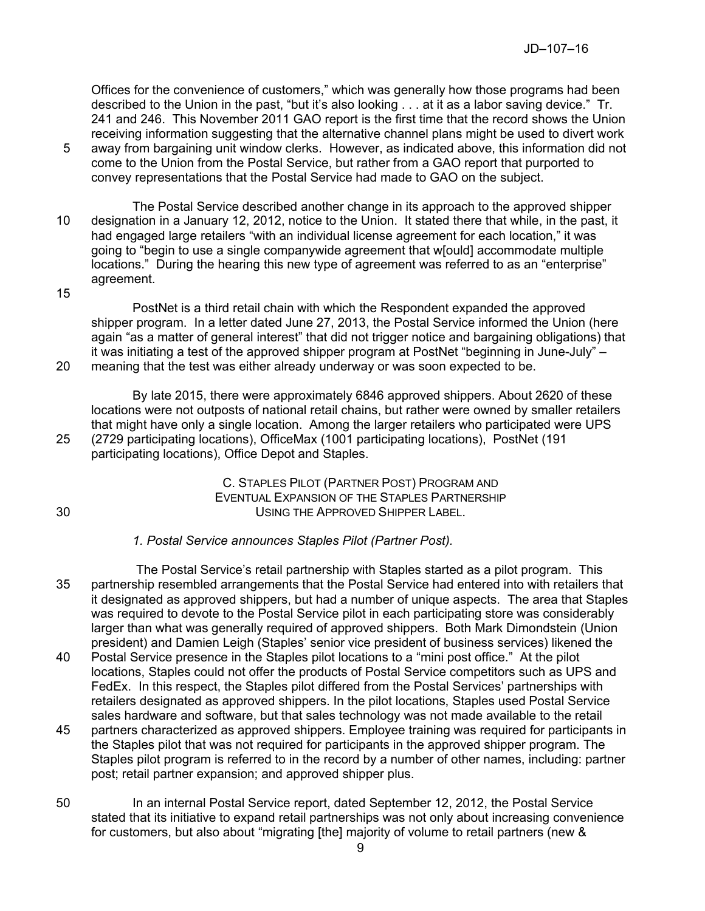Offices for the convenience of customers," which was generally how those programs had been described to the Union in the past, "but it's also looking . . . at it as a labor saving device." Tr. 241 and 246. This November 2011 GAO report is the first time that the record shows the Union receiving information suggesting that the alternative channel plans might be used to divert work

- 5 away from bargaining unit window clerks. However, as indicated above, this information did not come to the Union from the Postal Service, but rather from a GAO report that purported to convey representations that the Postal Service had made to GAO on the subject.
- The Postal Service described another change in its approach to the approved shipper 10 designation in a January 12, 2012, notice to the Union. It stated there that while, in the past, it had engaged large retailers "with an individual license agreement for each location," it was going to "begin to use a single companywide agreement that w[ould] accommodate multiple locations." During the hearing this new type of agreement was referred to as an "enterprise" agreement.
- 15

PostNet is a third retail chain with which the Respondent expanded the approved shipper program. In a letter dated June 27, 2013, the Postal Service informed the Union (here again "as a matter of general interest" that did not trigger notice and bargaining obligations) that it was initiating a test of the approved shipper program at PostNet "beginning in June-July" – 20 meaning that the test was either already underway or was soon expected to be.

By late 2015, there were approximately 6846 approved shippers. About 2620 of these locations were not outposts of national retail chains, but rather were owned by smaller retailers that might have only a single location. Among the larger retailers who participated were UPS 25 (2729 participating locations), OfficeMax (1001 participating locations), PostNet (191 participating locations), Office Depot and Staples.

C. STAPLES PILOT (PARTNER POST) PROGRAM AND EVENTUAL EXPANSION OF THE STAPLES PARTNERSHIP 30 USING THE APPROVED SHIPPER LABEL.

# *1. Postal Service announces Staples Pilot (Partner Post).*

- The Postal Service's retail partnership with Staples started as a pilot program. This 35 partnership resembled arrangements that the Postal Service had entered into with retailers that it designated as approved shippers, but had a number of unique aspects. The area that Staples was required to devote to the Postal Service pilot in each participating store was considerably larger than what was generally required of approved shippers. Both Mark Dimondstein (Union president) and Damien Leigh (Staples' senior vice president of business services) likened the
- 40 Postal Service presence in the Staples pilot locations to a "mini post office." At the pilot locations, Staples could not offer the products of Postal Service competitors such as UPS and FedEx. In this respect, the Staples pilot differed from the Postal Services' partnerships with retailers designated as approved shippers. In the pilot locations, Staples used Postal Service sales hardware and software, but that sales technology was not made available to the retail
- 45 partners characterized as approved shippers. Employee training was required for participants in the Staples pilot that was not required for participants in the approved shipper program. The Staples pilot program is referred to in the record by a number of other names, including: partner post; retail partner expansion; and approved shipper plus.
- 50 In an internal Postal Service report, dated September 12, 2012, the Postal Service stated that its initiative to expand retail partnerships was not only about increasing convenience for customers, but also about "migrating [the] majority of volume to retail partners (new &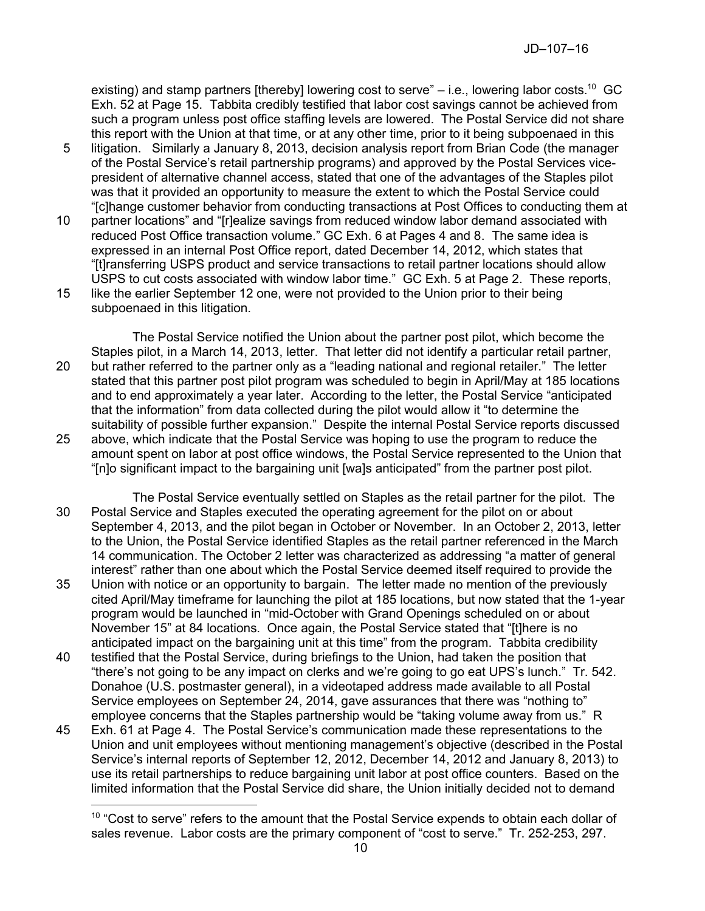existing) and stamp partners [thereby] lowering cost to serve"  $-$  i.e., lowering labor costs.<sup>10</sup> GC Exh. 52 at Page 15. Tabbita credibly testified that labor cost savings cannot be achieved from such a program unless post office staffing levels are lowered. The Postal Service did not share this report with the Union at that time, or at any other time, prior to it being subpoenaed in this

- 5 litigation. Similarly a January 8, 2013, decision analysis report from Brian Code (the manager of the Postal Service's retail partnership programs) and approved by the Postal Services vicepresident of alternative channel access, stated that one of the advantages of the Staples pilot was that it provided an opportunity to measure the extent to which the Postal Service could "[c]hange customer behavior from conducting transactions at Post Offices to conducting them at
- 10 partner locations" and "[r]ealize savings from reduced window labor demand associated with reduced Post Office transaction volume." GC Exh. 6 at Pages 4 and 8. The same idea is expressed in an internal Post Office report, dated December 14, 2012, which states that "[t]ransferring USPS product and service transactions to retail partner locations should allow USPS to cut costs associated with window labor time." GC Exh. 5 at Page 2. These reports,
- 15 like the earlier September 12 one, were not provided to the Union prior to their being subpoenaed in this litigation.

The Postal Service notified the Union about the partner post pilot, which become the Staples pilot, in a March 14, 2013, letter. That letter did not identify a particular retail partner, 20 but rather referred to the partner only as a "leading national and regional retailer." The letter stated that this partner post pilot program was scheduled to begin in April/May at 185 locations and to end approximately a year later. According to the letter, the Postal Service "anticipated that the information" from data collected during the pilot would allow it "to determine the suitability of possible further expansion." Despite the internal Postal Service reports discussed 25 above, which indicate that the Postal Service was hoping to use the program to reduce the amount spent on labor at post office windows, the Postal Service represented to the Union that "[n]o significant impact to the bargaining unit [wa]s anticipated" from the partner post pilot.

- The Postal Service eventually settled on Staples as the retail partner for the pilot. The 30 Postal Service and Staples executed the operating agreement for the pilot on or about September 4, 2013, and the pilot began in October or November. In an October 2, 2013, letter to the Union, the Postal Service identified Staples as the retail partner referenced in the March 14 communication. The October 2 letter was characterized as addressing "a matter of general interest" rather than one about which the Postal Service deemed itself required to provide the
- 35 Union with notice or an opportunity to bargain. The letter made no mention of the previously cited April/May timeframe for launching the pilot at 185 locations, but now stated that the 1-year program would be launched in "mid-October with Grand Openings scheduled on or about November 15" at 84 locations. Once again, the Postal Service stated that "[t]here is no anticipated impact on the bargaining unit at this time" from the program. Tabbita credibility
- 40 testified that the Postal Service, during briefings to the Union, had taken the position that "there's not going to be any impact on clerks and we're going to go eat UPS's lunch." Tr. 542. Donahoe (U.S. postmaster general), in a videotaped address made available to all Postal Service employees on September 24, 2014, gave assurances that there was "nothing to" employee concerns that the Staples partnership would be "taking volume away from us." R
- 45 Exh. 61 at Page 4. The Postal Service's communication made these representations to the Union and unit employees without mentioning management's objective (described in the Postal Service's internal reports of September 12, 2012, December 14, 2012 and January 8, 2013) to use its retail partnerships to reduce bargaining unit labor at post office counters. Based on the limited information that the Postal Service did share, the Union initially decided not to demand

<sup>&</sup>lt;sup>10</sup> "Cost to serve" refers to the amount that the Postal Service expends to obtain each dollar of sales revenue. Labor costs are the primary component of "cost to serve." Tr. 252-253, 297.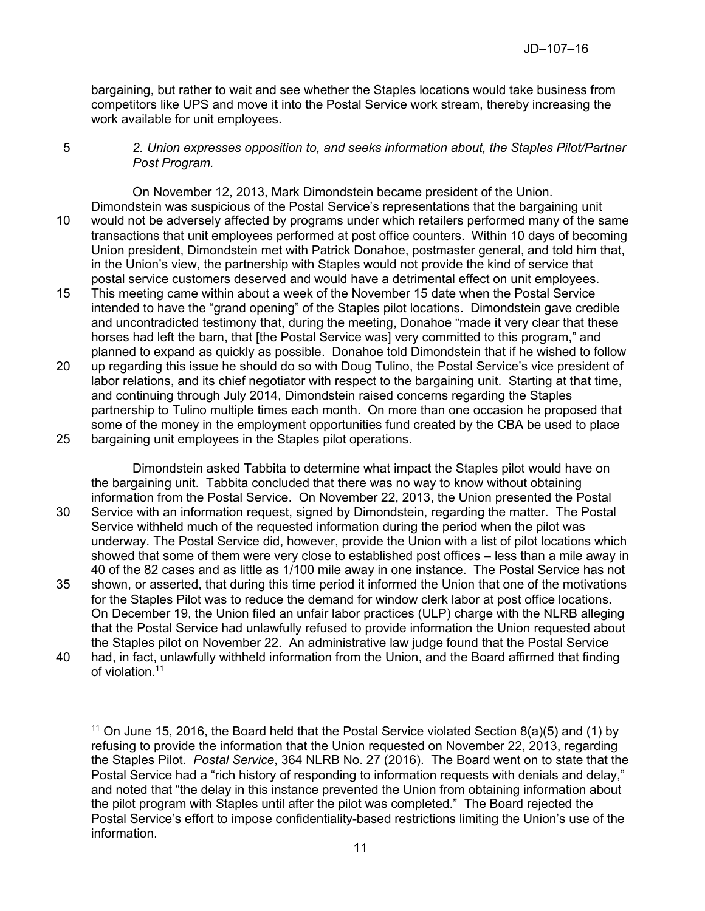bargaining, but rather to wait and see whether the Staples locations would take business from competitors like UPS and move it into the Postal Service work stream, thereby increasing the work available for unit employees.

## 5 *2. Union expresses opposition to, and seeks information about, the Staples Pilot/Partner Post Program.*

On November 12, 2013, Mark Dimondstein became president of the Union. Dimondstein was suspicious of the Postal Service's representations that the bargaining unit 10 would not be adversely affected by programs under which retailers performed many of the same transactions that unit employees performed at post office counters. Within 10 days of becoming Union president, Dimondstein met with Patrick Donahoe, postmaster general, and told him that, in the Union's view, the partnership with Staples would not provide the kind of service that postal service customers deserved and would have a detrimental effect on unit employees.

- 15 This meeting came within about a week of the November 15 date when the Postal Service intended to have the "grand opening" of the Staples pilot locations. Dimondstein gave credible and uncontradicted testimony that, during the meeting, Donahoe "made it very clear that these horses had left the barn, that [the Postal Service was] very committed to this program," and planned to expand as quickly as possible. Donahoe told Dimondstein that if he wished to follow
- 20 up regarding this issue he should do so with Doug Tulino, the Postal Service's vice president of labor relations, and its chief negotiator with respect to the bargaining unit. Starting at that time, and continuing through July 2014, Dimondstein raised concerns regarding the Staples partnership to Tulino multiple times each month. On more than one occasion he proposed that some of the money in the employment opportunities fund created by the CBA be used to place
- 25 bargaining unit employees in the Staples pilot operations.

Dimondstein asked Tabbita to determine what impact the Staples pilot would have on the bargaining unit. Tabbita concluded that there was no way to know without obtaining information from the Postal Service. On November 22, 2013, the Union presented the Postal 30 Service with an information request, signed by Dimondstein, regarding the matter. The Postal Service withheld much of the requested information during the period when the pilot was underway. The Postal Service did, however, provide the Union with a list of pilot locations which

- showed that some of them were very close to established post offices less than a mile away in 40 of the 82 cases and as little as 1/100 mile away in one instance. The Postal Service has not 35 shown, or asserted, that during this time period it informed the Union that one of the motivations for the Staples Pilot was to reduce the demand for window clerk labor at post office locations. On December 19, the Union filed an unfair labor practices (ULP) charge with the NLRB alleging that the Postal Service had unlawfully refused to provide information the Union requested about
- the Staples pilot on November 22. An administrative law judge found that the Postal Service 40 had, in fact, unlawfully withheld information from the Union, and the Board affirmed that finding of violation. 11

 $\overline{a}$ <sup>11</sup> On June 15, 2016, the Board held that the Postal Service violated Section 8(a)(5) and (1) by refusing to provide the information that the Union requested on November 22, 2013, regarding the Staples Pilot. *Postal Service*, 364 NLRB No. 27 (2016). The Board went on to state that the Postal Service had a "rich history of responding to information requests with denials and delay," and noted that "the delay in this instance prevented the Union from obtaining information about the pilot program with Staples until after the pilot was completed." The Board rejected the Postal Service's effort to impose confidentiality-based restrictions limiting the Union's use of the information.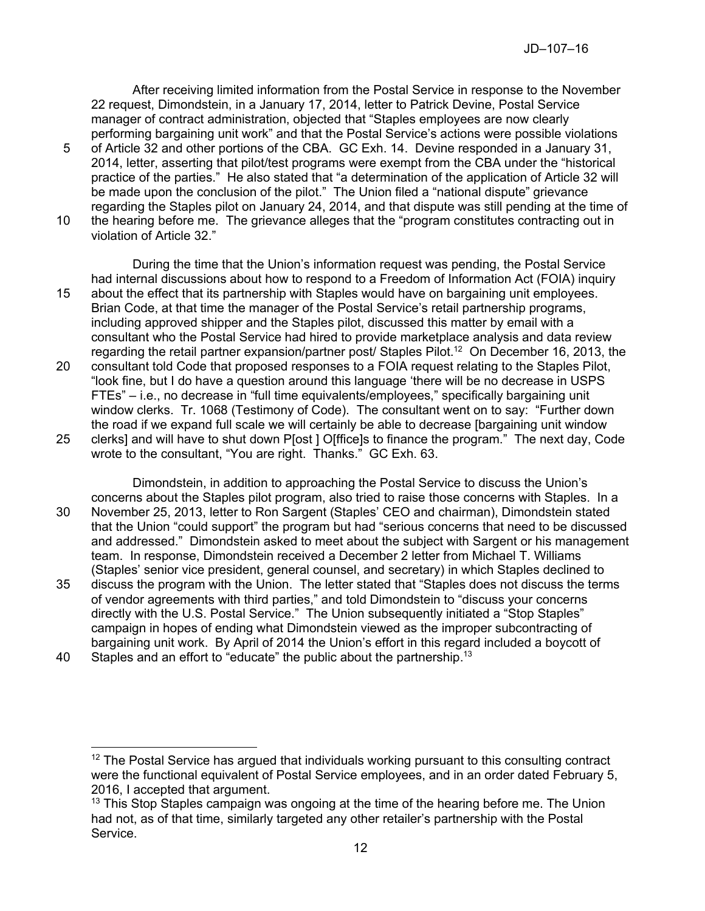After receiving limited information from the Postal Service in response to the November 22 request, Dimondstein, in a January 17, 2014, letter to Patrick Devine, Postal Service manager of contract administration, objected that "Staples employees are now clearly performing bargaining unit work" and that the Postal Service's actions were possible violations

- 5 of Article 32 and other portions of the CBA. GC Exh. 14. Devine responded in a January 31, 2014, letter, asserting that pilot/test programs were exempt from the CBA under the "historical practice of the parties." He also stated that "a determination of the application of Article 32 will be made upon the conclusion of the pilot." The Union filed a "national dispute" grievance regarding the Staples pilot on January 24, 2014, and that dispute was still pending at the time of
- 10 the hearing before me. The grievance alleges that the "program constitutes contracting out in violation of Article 32."

During the time that the Union's information request was pending, the Postal Service had internal discussions about how to respond to a Freedom of Information Act (FOIA) inquiry 15 about the effect that its partnership with Staples would have on bargaining unit employees. Brian Code, at that time the manager of the Postal Service's retail partnership programs, including approved shipper and the Staples pilot, discussed this matter by email with a consultant who the Postal Service had hired to provide marketplace analysis and data review regarding the retail partner expansion/partner post/ Staples Pilot.<sup>12</sup> On December 16, 2013, the

- 20 consultant told Code that proposed responses to a FOIA request relating to the Staples Pilot, "look fine, but I do have a question around this language 'there will be no decrease in USPS FTEs" – i.e., no decrease in "full time equivalents/employees," specifically bargaining unit window clerks. Tr. 1068 (Testimony of Code). The consultant went on to say: "Further down the road if we expand full scale we will certainly be able to decrease [bargaining unit window 25 clerks] and will have to shut down P[ost ] O[ffice]s to finance the program." The next day, Code
- wrote to the consultant, "You are right. Thanks." GC Exh. 63.

Dimondstein, in addition to approaching the Postal Service to discuss the Union's concerns about the Staples pilot program, also tried to raise those concerns with Staples. In a 30 November 25, 2013, letter to Ron Sargent (Staples' CEO and chairman), Dimondstein stated that the Union "could support" the program but had "serious concerns that need to be discussed and addressed." Dimondstein asked to meet about the subject with Sargent or his management team. In response, Dimondstein received a December 2 letter from Michael T. Williams (Staples' senior vice president, general counsel, and secretary) in which Staples declined to 35 discuss the program with the Union. The letter stated that "Staples does not discuss the terms

- of vendor agreements with third parties," and told Dimondstein to "discuss your concerns directly with the U.S. Postal Service." The Union subsequently initiated a "Stop Staples" campaign in hopes of ending what Dimondstein viewed as the improper subcontracting of bargaining unit work. By April of 2014 the Union's effort in this regard included a boycott of
- 40 Staples and an effort to "educate" the public about the partnership.<sup>13</sup>

 $\overline{a}$ 

 $12$  The Postal Service has argued that individuals working pursuant to this consulting contract were the functional equivalent of Postal Service employees, and in an order dated February 5, 2016, I accepted that argument.

<sup>&</sup>lt;sup>13</sup> This Stop Staples campaign was ongoing at the time of the hearing before me. The Union had not, as of that time, similarly targeted any other retailer's partnership with the Postal Service.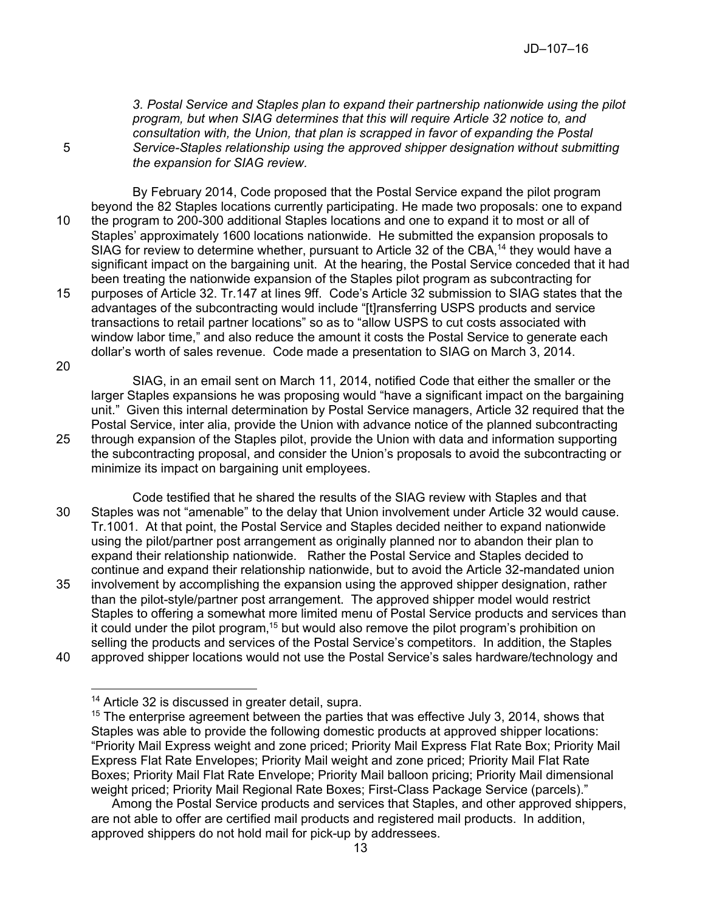*3. Postal Service and Staples plan to expand their partnership nationwide using the pilot program, but when SIAG determines that this will require Article 32 notice to, and consultation with, the Union, that plan is scrapped in favor of expanding the Postal*  5 *Service-Staples relationship using the approved shipper designation without submitting the expansion for SIAG review.* 

By February 2014, Code proposed that the Postal Service expand the pilot program beyond the 82 Staples locations currently participating. He made two proposals: one to expand 10 the program to 200-300 additional Staples locations and one to expand it to most or all of Staples' approximately 1600 locations nationwide. He submitted the expansion proposals to SIAG for review to determine whether, pursuant to Article 32 of the CBA,<sup>14</sup> they would have a significant impact on the bargaining unit. At the hearing, the Postal Service conceded that it had been treating the nationwide expansion of the Staples pilot program as subcontracting for 15 purposes of Article 32. Tr.147 at lines 9ff. Code's Article 32 submission to SIAG states that the advantages of the subcontracting would include "[t]ransferring USPS products and service transactions to retail partner locations" so as to "allow USPS to cut costs associated with window labor time," and also reduce the amount it costs the Postal Service to generate each dollar's worth of sales revenue. Code made a presentation to SIAG on March 3, 2014.

20

 $\overline{a}$ 

SIAG, in an email sent on March 11, 2014, notified Code that either the smaller or the larger Staples expansions he was proposing would "have a significant impact on the bargaining unit." Given this internal determination by Postal Service managers, Article 32 required that the Postal Service, inter alia, provide the Union with advance notice of the planned subcontracting 25 through expansion of the Staples pilot, provide the Union with data and information supporting the subcontracting proposal, and consider the Union's proposals to avoid the subcontracting or minimize its impact on bargaining unit employees.

Code testified that he shared the results of the SIAG review with Staples and that 30 Staples was not "amenable" to the delay that Union involvement under Article 32 would cause. Tr.1001. At that point, the Postal Service and Staples decided neither to expand nationwide using the pilot/partner post arrangement as originally planned nor to abandon their plan to expand their relationship nationwide. Rather the Postal Service and Staples decided to continue and expand their relationship nationwide, but to avoid the Article 32-mandated union 35 involvement by accomplishing the expansion using the approved shipper designation, rather than the pilot-style/partner post arrangement. The approved shipper model would restrict Staples to offering a somewhat more limited menu of Postal Service products and services than it could under the pilot program,<sup>15</sup> but would also remove the pilot program's prohibition on selling the products and services of the Postal Service's competitors. In addition, the Staples

40 approved shipper locations would not use the Postal Service's sales hardware/technology and

<sup>&</sup>lt;sup>14</sup> Article 32 is discussed in greater detail, supra.

<sup>&</sup>lt;sup>15</sup> The enterprise agreement between the parties that was effective July 3, 2014, shows that Staples was able to provide the following domestic products at approved shipper locations: "Priority Mail Express weight and zone priced; Priority Mail Express Flat Rate Box; Priority Mail Express Flat Rate Envelopes; Priority Mail weight and zone priced; Priority Mail Flat Rate Boxes; Priority Mail Flat Rate Envelope; Priority Mail balloon pricing; Priority Mail dimensional weight priced; Priority Mail Regional Rate Boxes; First-Class Package Service (parcels)."

Among the Postal Service products and services that Staples, and other approved shippers, are not able to offer are certified mail products and registered mail products. In addition, approved shippers do not hold mail for pick-up by addressees.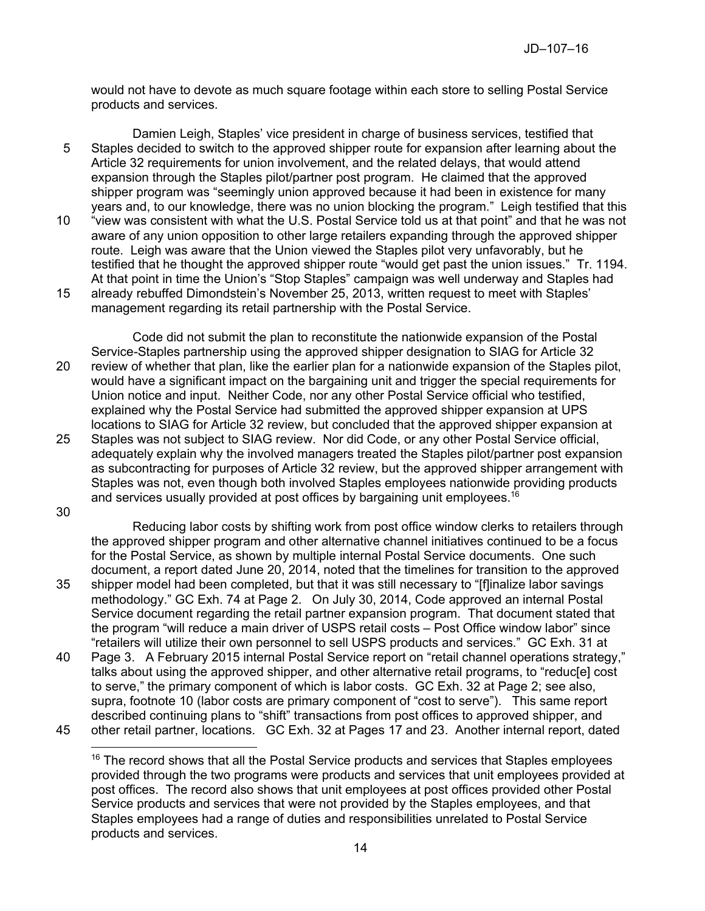would not have to devote as much square footage within each store to selling Postal Service products and services.

Damien Leigh, Staples' vice president in charge of business services, testified that 5 Staples decided to switch to the approved shipper route for expansion after learning about the Article 32 requirements for union involvement, and the related delays, that would attend expansion through the Staples pilot/partner post program. He claimed that the approved shipper program was "seemingly union approved because it had been in existence for many years and, to our knowledge, there was no union blocking the program." Leigh testified that this 10 "view was consistent with what the U.S. Postal Service told us at that point" and that he was not aware of any union opposition to other large retailers expanding through the approved shipper

route. Leigh was aware that the Union viewed the Staples pilot very unfavorably, but he testified that he thought the approved shipper route "would get past the union issues." Tr. 1194. At that point in time the Union's "Stop Staples" campaign was well underway and Staples had 15 already rebuffed Dimondstein's November 25, 2013, written request to meet with Staples' management regarding its retail partnership with the Postal Service.

Code did not submit the plan to reconstitute the nationwide expansion of the Postal Service-Staples partnership using the approved shipper designation to SIAG for Article 32 20 review of whether that plan, like the earlier plan for a nationwide expansion of the Staples pilot, would have a significant impact on the bargaining unit and trigger the special requirements for Union notice and input. Neither Code, nor any other Postal Service official who testified, explained why the Postal Service had submitted the approved shipper expansion at UPS locations to SIAG for Article 32 review, but concluded that the approved shipper expansion at 25 Staples was not subject to SIAG review. Nor did Code, or any other Postal Service official,

adequately explain why the involved managers treated the Staples pilot/partner post expansion as subcontracting for purposes of Article 32 review, but the approved shipper arrangement with Staples was not, even though both involved Staples employees nationwide providing products and services usually provided at post offices by bargaining unit employees.<sup>16</sup>

30

Reducing labor costs by shifting work from post office window clerks to retailers through the approved shipper program and other alternative channel initiatives continued to be a focus for the Postal Service, as shown by multiple internal Postal Service documents. One such document, a report dated June 20, 2014, noted that the timelines for transition to the approved

- 35 shipper model had been completed, but that it was still necessary to "[f]inalize labor savings methodology." GC Exh. 74 at Page 2. On July 30, 2014, Code approved an internal Postal Service document regarding the retail partner expansion program. That document stated that the program "will reduce a main driver of USPS retail costs – Post Office window labor" since "retailers will utilize their own personnel to sell USPS products and services." GC Exh. 31 at
- 40 Page 3. A February 2015 internal Postal Service report on "retail channel operations strategy," talks about using the approved shipper, and other alternative retail programs, to "reduc[e] cost to serve," the primary component of which is labor costs. GC Exh. 32 at Page 2; see also, supra, footnote 10 (labor costs are primary component of "cost to serve"). This same report described continuing plans to "shift" transactions from post offices to approved shipper, and 45 other retail partner, locations. GC Exh. 32 at Pages 17 and 23. Another internal report, dated

 $\overline{a}$  $16$  The record shows that all the Postal Service products and services that Staples employees provided through the two programs were products and services that unit employees provided at post offices. The record also shows that unit employees at post offices provided other Postal Service products and services that were not provided by the Staples employees, and that Staples employees had a range of duties and responsibilities unrelated to Postal Service products and services.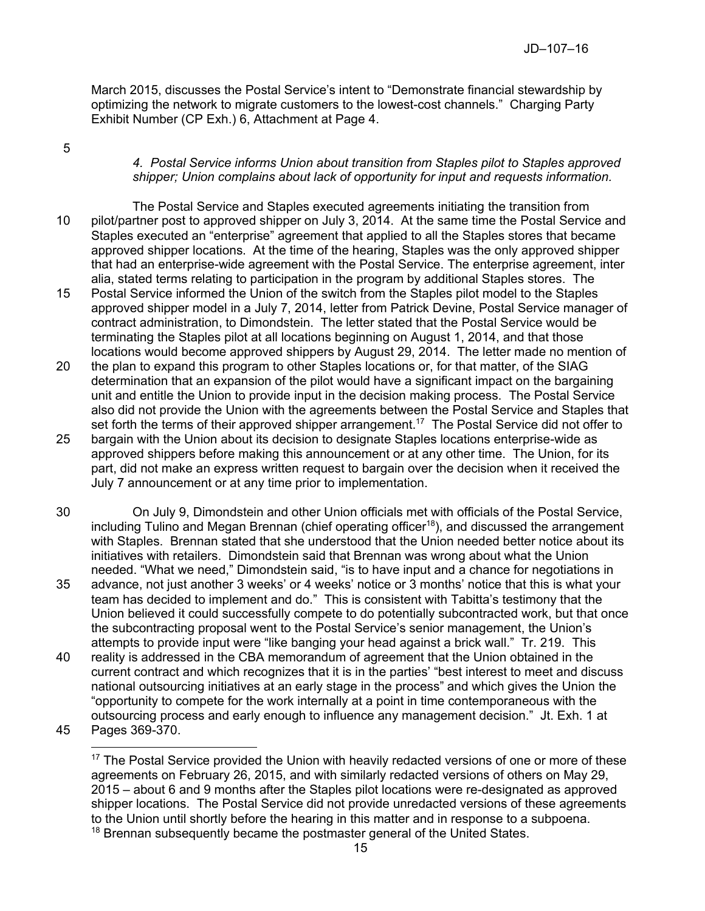March 2015, discusses the Postal Service's intent to "Demonstrate financial stewardship by optimizing the network to migrate customers to the lowest-cost channels." Charging Party Exhibit Number (CP Exh.) 6, Attachment at Page 4.

5

## *4. Postal Service informs Union about transition from Staples pilot to Staples approved shipper; Union complains about lack of opportunity for input and requests information.*

- The Postal Service and Staples executed agreements initiating the transition from 10 pilot/partner post to approved shipper on July 3, 2014. At the same time the Postal Service and Staples executed an "enterprise" agreement that applied to all the Staples stores that became approved shipper locations. At the time of the hearing, Staples was the only approved shipper that had an enterprise-wide agreement with the Postal Service. The enterprise agreement, inter alia, stated terms relating to participation in the program by additional Staples stores. The
- 15 Postal Service informed the Union of the switch from the Staples pilot model to the Staples approved shipper model in a July 7, 2014, letter from Patrick Devine, Postal Service manager of contract administration, to Dimondstein. The letter stated that the Postal Service would be terminating the Staples pilot at all locations beginning on August 1, 2014, and that those locations would become approved shippers by August 29, 2014. The letter made no mention of
- 20 the plan to expand this program to other Staples locations or, for that matter, of the SIAG determination that an expansion of the pilot would have a significant impact on the bargaining unit and entitle the Union to provide input in the decision making process. The Postal Service also did not provide the Union with the agreements between the Postal Service and Staples that set forth the terms of their approved shipper arrangement.<sup>17</sup> The Postal Service did not offer to
- 25 bargain with the Union about its decision to designate Staples locations enterprise-wide as approved shippers before making this announcement or at any other time. The Union, for its part, did not make an express written request to bargain over the decision when it received the July 7 announcement or at any time prior to implementation.
- 30 On July 9, Dimondstein and other Union officials met with officials of the Postal Service, including Tulino and Megan Brennan (chief operating officer<sup>18</sup>), and discussed the arrangement with Staples. Brennan stated that she understood that the Union needed better notice about its initiatives with retailers. Dimondstein said that Brennan was wrong about what the Union needed. "What we need," Dimondstein said, "is to have input and a chance for negotiations in
- 35 advance, not just another 3 weeks' or 4 weeks' notice or 3 months' notice that this is what your team has decided to implement and do." This is consistent with Tabitta's testimony that the Union believed it could successfully compete to do potentially subcontracted work, but that once the subcontracting proposal went to the Postal Service's senior management, the Union's attempts to provide input were "like banging your head against a brick wall." Tr. 219. This
- 40 reality is addressed in the CBA memorandum of agreement that the Union obtained in the current contract and which recognizes that it is in the parties' "best interest to meet and discuss national outsourcing initiatives at an early stage in the process" and which gives the Union the "opportunity to compete for the work internally at a point in time contemporaneous with the outsourcing process and early enough to influence any management decision." Jt. Exh. 1 at
- 45 Pages 369-370.

 $\overline{a}$ <sup>17</sup> The Postal Service provided the Union with heavily redacted versions of one or more of these agreements on February 26, 2015, and with similarly redacted versions of others on May 29, 2015 – about 6 and 9 months after the Staples pilot locations were re-designated as approved shipper locations. The Postal Service did not provide unredacted versions of these agreements to the Union until shortly before the hearing in this matter and in response to a subpoena. <sup>18</sup> Brennan subsequently became the postmaster general of the United States.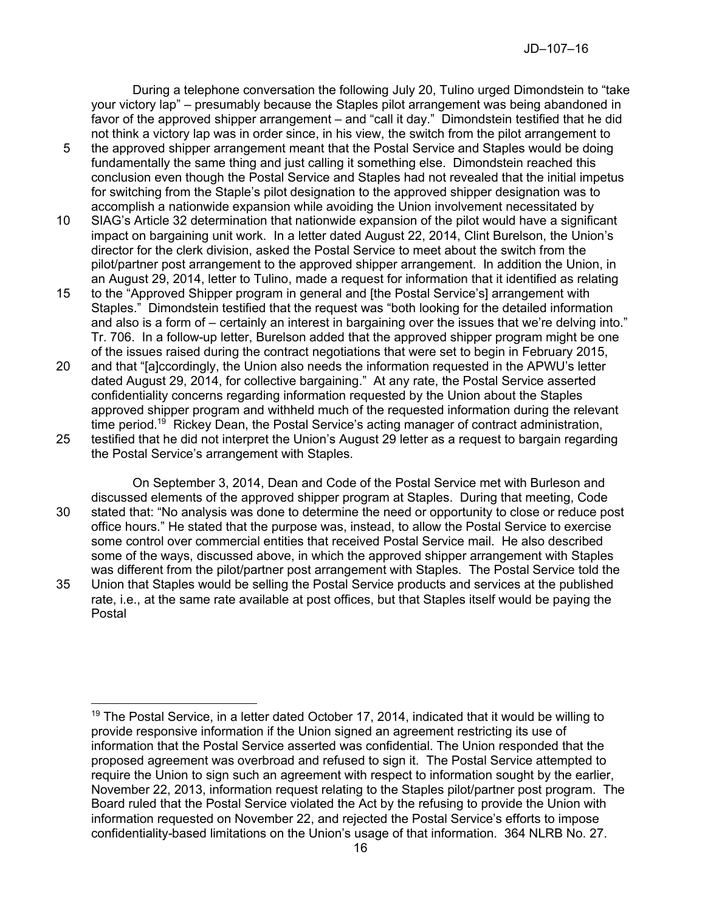During a telephone conversation the following July 20, Tulino urged Dimondstein to "take your victory lap" – presumably because the Staples pilot arrangement was being abandoned in favor of the approved shipper arrangement – and "call it day." Dimondstein testified that he did not think a victory lap was in order since, in his view, the switch from the pilot arrangement to

- 5 the approved shipper arrangement meant that the Postal Service and Staples would be doing fundamentally the same thing and just calling it something else. Dimondstein reached this conclusion even though the Postal Service and Staples had not revealed that the initial impetus for switching from the Staple's pilot designation to the approved shipper designation was to accomplish a nationwide expansion while avoiding the Union involvement necessitated by
- 10 SIAG's Article 32 determination that nationwide expansion of the pilot would have a significant impact on bargaining unit work. In a letter dated August 22, 2014, Clint Burelson, the Union's director for the clerk division, asked the Postal Service to meet about the switch from the pilot/partner post arrangement to the approved shipper arrangement. In addition the Union, in an August 29, 2014, letter to Tulino, made a request for information that it identified as relating
- 15 to the "Approved Shipper program in general and [the Postal Service's] arrangement with Staples." Dimondstein testified that the request was "both looking for the detailed information and also is a form of – certainly an interest in bargaining over the issues that we're delving into." Tr. 706. In a follow-up letter, Burelson added that the approved shipper program might be one of the issues raised during the contract negotiations that were set to begin in February 2015,
- 20 and that "[a]ccordingly, the Union also needs the information requested in the APWU's letter dated August 29, 2014, for collective bargaining." At any rate, the Postal Service asserted confidentiality concerns regarding information requested by the Union about the Staples approved shipper program and withheld much of the requested information during the relevant time period.<sup>19</sup> Rickey Dean, the Postal Service's acting manager of contract administration,
- 25 testified that he did not interpret the Union's August 29 letter as a request to bargain regarding the Postal Service's arrangement with Staples.

On September 3, 2014, Dean and Code of the Postal Service met with Burleson and discussed elements of the approved shipper program at Staples. During that meeting, Code 30 stated that: "No analysis was done to determine the need or opportunity to close or reduce post office hours." He stated that the purpose was, instead, to allow the Postal Service to exercise some control over commercial entities that received Postal Service mail. He also described some of the ways, discussed above, in which the approved shipper arrangement with Staples was different from the pilot/partner post arrangement with Staples. The Postal Service told the 35 Union that Staples would be selling the Postal Service products and services at the published rate, i.e., at the same rate available at post offices, but that Staples itself would be paying the Postal

 $19$  The Postal Service, in a letter dated October 17, 2014, indicated that it would be willing to provide responsive information if the Union signed an agreement restricting its use of information that the Postal Service asserted was confidential. The Union responded that the proposed agreement was overbroad and refused to sign it. The Postal Service attempted to require the Union to sign such an agreement with respect to information sought by the earlier, November 22, 2013, information request relating to the Staples pilot/partner post program. The Board ruled that the Postal Service violated the Act by the refusing to provide the Union with information requested on November 22, and rejected the Postal Service's efforts to impose confidentiality-based limitations on the Union's usage of that information. 364 NLRB No. 27.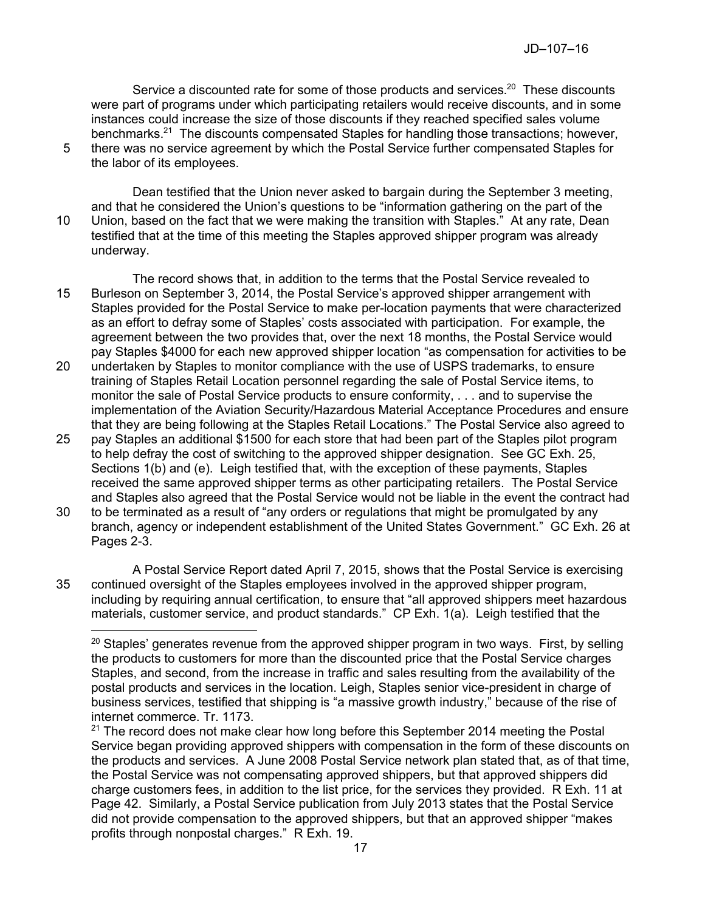Service a discounted rate for some of those products and services.<sup>20</sup> These discounts were part of programs under which participating retailers would receive discounts, and in some instances could increase the size of those discounts if they reached specified sales volume benchmarks.<sup>21</sup> The discounts compensated Staples for handling those transactions; however, 5 there was no service agreement by which the Postal Service further compensated Staples for

 $\overline{a}$ 

the labor of its employees.

Dean testified that the Union never asked to bargain during the September 3 meeting, and that he considered the Union's questions to be "information gathering on the part of the 10 Union, based on the fact that we were making the transition with Staples." At any rate, Dean testified that at the time of this meeting the Staples approved shipper program was already underway.

The record shows that, in addition to the terms that the Postal Service revealed to 15 Burleson on September 3, 2014, the Postal Service's approved shipper arrangement with Staples provided for the Postal Service to make per-location payments that were characterized as an effort to defray some of Staples' costs associated with participation. For example, the agreement between the two provides that, over the next 18 months, the Postal Service would pay Staples \$4000 for each new approved shipper location "as compensation for activities to be

- 20 undertaken by Staples to monitor compliance with the use of USPS trademarks, to ensure training of Staples Retail Location personnel regarding the sale of Postal Service items, to monitor the sale of Postal Service products to ensure conformity, . . . and to supervise the implementation of the Aviation Security/Hazardous Material Acceptance Procedures and ensure that they are being following at the Staples Retail Locations." The Postal Service also agreed to
- 25 pay Staples an additional \$1500 for each store that had been part of the Staples pilot program to help defray the cost of switching to the approved shipper designation. See GC Exh. 25, Sections 1(b) and (e). Leigh testified that, with the exception of these payments, Staples received the same approved shipper terms as other participating retailers. The Postal Service and Staples also agreed that the Postal Service would not be liable in the event the contract had
- 30 to be terminated as a result of "any orders or regulations that might be promulgated by any branch, agency or independent establishment of the United States Government." GC Exh. 26 at Pages 2-3.
- A Postal Service Report dated April 7, 2015, shows that the Postal Service is exercising 35 continued oversight of the Staples employees involved in the approved shipper program, including by requiring annual certification, to ensure that "all approved shippers meet hazardous materials, customer service, and product standards." CP Exh. 1(a). Leigh testified that the

<sup>&</sup>lt;sup>20</sup> Staples' generates revenue from the approved shipper program in two ways. First, by selling the products to customers for more than the discounted price that the Postal Service charges Staples, and second, from the increase in traffic and sales resulting from the availability of the postal products and services in the location. Leigh, Staples senior vice-president in charge of business services, testified that shipping is "a massive growth industry," because of the rise of internet commerce. Tr. 1173.

 $21$  The record does not make clear how long before this September 2014 meeting the Postal Service began providing approved shippers with compensation in the form of these discounts on the products and services. A June 2008 Postal Service network plan stated that, as of that time, the Postal Service was not compensating approved shippers, but that approved shippers did charge customers fees, in addition to the list price, for the services they provided. R Exh. 11 at Page 42. Similarly, a Postal Service publication from July 2013 states that the Postal Service did not provide compensation to the approved shippers, but that an approved shipper "makes profits through nonpostal charges." R Exh. 19.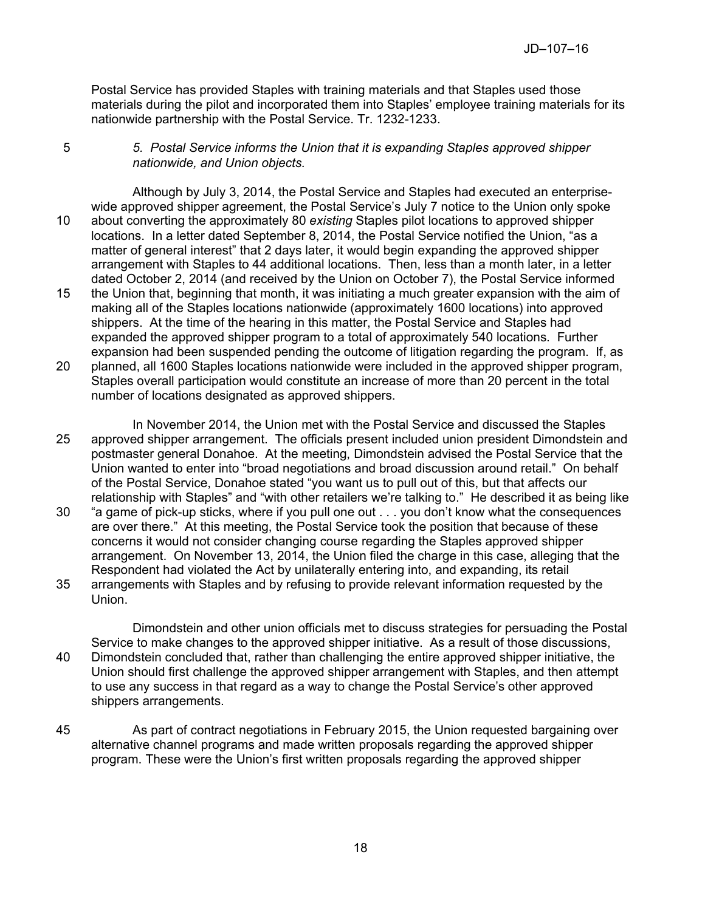Postal Service has provided Staples with training materials and that Staples used those materials during the pilot and incorporated them into Staples' employee training materials for its nationwide partnership with the Postal Service. Tr. 1232-1233.

## 5 *5. Postal Service informs the Union that it is expanding Staples approved shipper nationwide, and Union objects.*

Although by July 3, 2014, the Postal Service and Staples had executed an enterprisewide approved shipper agreement, the Postal Service's July 7 notice to the Union only spoke 10 about converting the approximately 80 *existing* Staples pilot locations to approved shipper locations. In a letter dated September 8, 2014, the Postal Service notified the Union, "as a matter of general interest" that 2 days later, it would begin expanding the approved shipper arrangement with Staples to 44 additional locations. Then, less than a month later, in a letter dated October 2, 2014 (and received by the Union on October 7), the Postal Service informed

- 15 the Union that, beginning that month, it was initiating a much greater expansion with the aim of making all of the Staples locations nationwide (approximately 1600 locations) into approved shippers. At the time of the hearing in this matter, the Postal Service and Staples had expanded the approved shipper program to a total of approximately 540 locations. Further expansion had been suspended pending the outcome of litigation regarding the program. If, as
- 20 planned, all 1600 Staples locations nationwide were included in the approved shipper program, Staples overall participation would constitute an increase of more than 20 percent in the total number of locations designated as approved shippers.
- In November 2014, the Union met with the Postal Service and discussed the Staples 25 approved shipper arrangement. The officials present included union president Dimondstein and postmaster general Donahoe. At the meeting, Dimondstein advised the Postal Service that the Union wanted to enter into "broad negotiations and broad discussion around retail." On behalf of the Postal Service, Donahoe stated "you want us to pull out of this, but that affects our relationship with Staples" and "with other retailers we're talking to." He described it as being like
- 30 "a game of pick-up sticks, where if you pull one out . . . you don't know what the consequences are over there." At this meeting, the Postal Service took the position that because of these concerns it would not consider changing course regarding the Staples approved shipper arrangement. On November 13, 2014, the Union filed the charge in this case, alleging that the Respondent had violated the Act by unilaterally entering into, and expanding, its retail
- 35 arrangements with Staples and by refusing to provide relevant information requested by the Union.

Dimondstein and other union officials met to discuss strategies for persuading the Postal Service to make changes to the approved shipper initiative. As a result of those discussions, 40 Dimondstein concluded that, rather than challenging the entire approved shipper initiative, the Union should first challenge the approved shipper arrangement with Staples, and then attempt to use any success in that regard as a way to change the Postal Service's other approved shippers arrangements.

45 As part of contract negotiations in February 2015, the Union requested bargaining over alternative channel programs and made written proposals regarding the approved shipper program. These were the Union's first written proposals regarding the approved shipper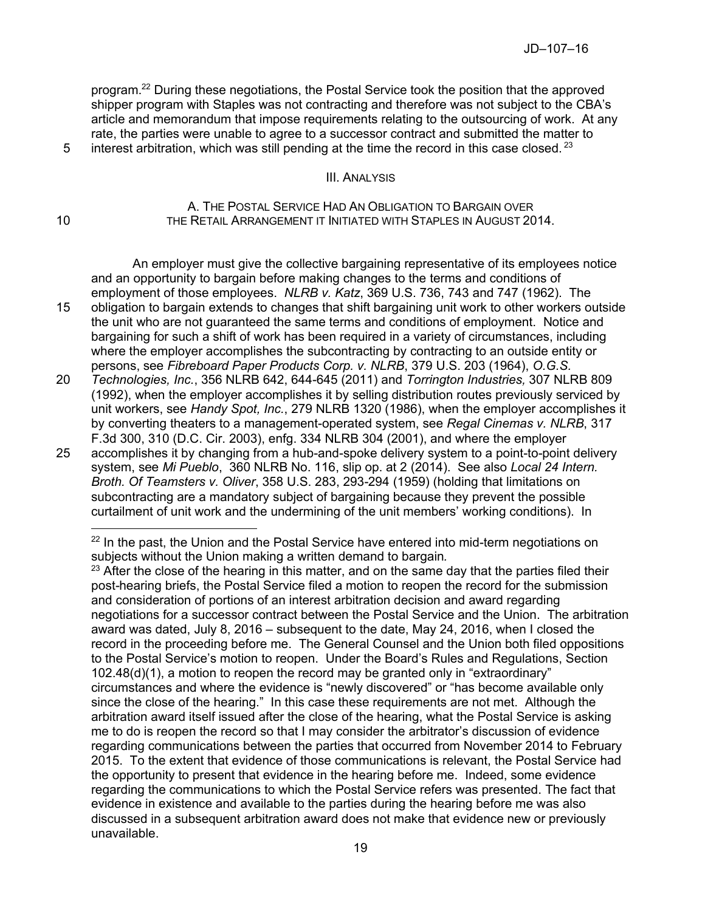program.<sup>22</sup> During these negotiations, the Postal Service took the position that the approved shipper program with Staples was not contracting and therefore was not subject to the CBA's article and memorandum that impose requirements relating to the outsourcing of work. At any rate, the parties were unable to agree to a successor contract and submitted the matter to 5 interest arbitration, which was still pending at the time the record in this case closed.  $^{23}$ 

## III. ANALYSIS

A. THE POSTAL SERVICE HAD AN OBLIGATION TO BARGAIN OVER 10 THE RETAIL ARRANGEMENT IT INITIATED WITH STAPLES IN AUGUST 2014.

An employer must give the collective bargaining representative of its employees notice and an opportunity to bargain before making changes to the terms and conditions of employment of those employees. *NLRB v. Katz*, 369 U.S. 736, 743 and 747 (1962). The

15 obligation to bargain extends to changes that shift bargaining unit work to other workers outside the unit who are not guaranteed the same terms and conditions of employment. Notice and bargaining for such a shift of work has been required in a variety of circumstances, including where the employer accomplishes the subcontracting by contracting to an outside entity or persons, see *Fibreboard Paper Products Corp. v. NLRB*, 379 U.S. 203 (1964), *O.G.S.* 

20 *Technologies, Inc.*, 356 NLRB 642, 644-645 (2011) and *Torrington Industries,* 307 NLRB 809 (1992), when the employer accomplishes it by selling distribution routes previously serviced by unit workers, see *Handy Spot, Inc.*, 279 NLRB 1320 (1986), when the employer accomplishes it by converting theaters to a management-operated system, see *Regal Cinemas v. NLRB*, 317 F.3d 300, 310 (D.C. Cir. 2003), enfg. 334 NLRB 304 (2001), and where the employer

25 accomplishes it by changing from a hub-and-spoke delivery system to a point-to-point delivery system, see *Mi Pueblo*, 360 NLRB No. 116, slip op. at 2 (2014). See also *Local 24 Intern. Broth. Of Teamsters v. Oliver*, 358 U.S. 283, 293-294 (1959) (holding that limitations on subcontracting are a mandatory subject of bargaining because they prevent the possible curtailment of unit work and the undermining of the unit members' working conditions). In

<sup>&</sup>lt;sup>22</sup> In the past, the Union and the Postal Service have entered into mid-term negotiations on subjects without the Union making a written demand to bargain*.* 

 $23$  After the close of the hearing in this matter, and on the same day that the parties filed their post-hearing briefs, the Postal Service filed a motion to reopen the record for the submission and consideration of portions of an interest arbitration decision and award regarding negotiations for a successor contract between the Postal Service and the Union. The arbitration award was dated, July 8, 2016 – subsequent to the date, May 24, 2016, when I closed the record in the proceeding before me. The General Counsel and the Union both filed oppositions to the Postal Service's motion to reopen. Under the Board's Rules and Regulations, Section 102.48(d)(1), a motion to reopen the record may be granted only in "extraordinary" circumstances and where the evidence is "newly discovered" or "has become available only since the close of the hearing." In this case these requirements are not met. Although the arbitration award itself issued after the close of the hearing, what the Postal Service is asking me to do is reopen the record so that I may consider the arbitrator's discussion of evidence regarding communications between the parties that occurred from November 2014 to February 2015. To the extent that evidence of those communications is relevant, the Postal Service had the opportunity to present that evidence in the hearing before me. Indeed, some evidence regarding the communications to which the Postal Service refers was presented. The fact that evidence in existence and available to the parties during the hearing before me was also discussed in a subsequent arbitration award does not make that evidence new or previously unavailable.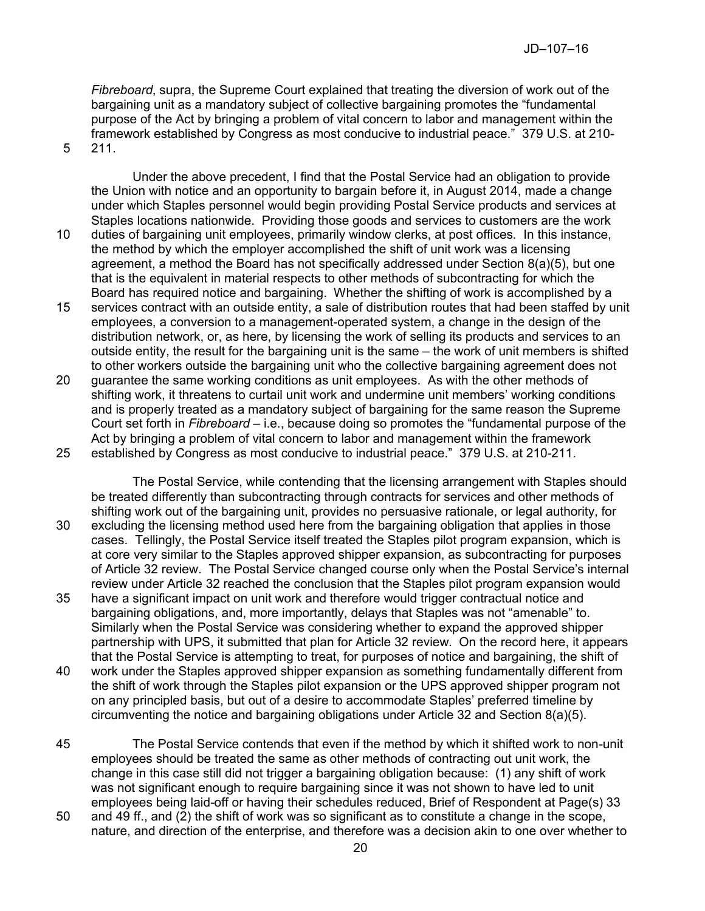*Fibreboard*, supra, the Supreme Court explained that treating the diversion of work out of the bargaining unit as a mandatory subject of collective bargaining promotes the "fundamental purpose of the Act by bringing a problem of vital concern to labor and management within the framework established by Congress as most conducive to industrial peace." 379 U.S. at 210- 5 211.

Under the above precedent, I find that the Postal Service had an obligation to provide the Union with notice and an opportunity to bargain before it, in August 2014, made a change under which Staples personnel would begin providing Postal Service products and services at Staples locations nationwide. Providing those goods and services to customers are the work

- 10 duties of bargaining unit employees, primarily window clerks, at post offices. In this instance, the method by which the employer accomplished the shift of unit work was a licensing agreement, a method the Board has not specifically addressed under Section 8(a)(5), but one that is the equivalent in material respects to other methods of subcontracting for which the Board has required notice and bargaining. Whether the shifting of work is accomplished by a
- 15 services contract with an outside entity, a sale of distribution routes that had been staffed by unit employees, a conversion to a management-operated system, a change in the design of the distribution network, or, as here, by licensing the work of selling its products and services to an outside entity, the result for the bargaining unit is the same – the work of unit members is shifted to other workers outside the bargaining unit who the collective bargaining agreement does not
- 20 guarantee the same working conditions as unit employees. As with the other methods of shifting work, it threatens to curtail unit work and undermine unit members' working conditions and is properly treated as a mandatory subject of bargaining for the same reason the Supreme Court set forth in *Fibreboard* – i.e., because doing so promotes the "fundamental purpose of the Act by bringing a problem of vital concern to labor and management within the framework 25 established by Congress as most conducive to industrial peace." 379 U.S. at 210-211.

The Postal Service, while contending that the licensing arrangement with Staples should be treated differently than subcontracting through contracts for services and other methods of shifting work out of the bargaining unit, provides no persuasive rationale, or legal authority, for 30 excluding the licensing method used here from the bargaining obligation that applies in those cases. Tellingly, the Postal Service itself treated the Staples pilot program expansion, which is at core very similar to the Staples approved shipper expansion, as subcontracting for purposes of Article 32 review. The Postal Service changed course only when the Postal Service's internal review under Article 32 reached the conclusion that the Staples pilot program expansion would

- 35 have a significant impact on unit work and therefore would trigger contractual notice and bargaining obligations, and, more importantly, delays that Staples was not "amenable" to. Similarly when the Postal Service was considering whether to expand the approved shipper partnership with UPS, it submitted that plan for Article 32 review. On the record here, it appears that the Postal Service is attempting to treat, for purposes of notice and bargaining, the shift of
- 40 work under the Staples approved shipper expansion as something fundamentally different from the shift of work through the Staples pilot expansion or the UPS approved shipper program not on any principled basis, but out of a desire to accommodate Staples' preferred timeline by circumventing the notice and bargaining obligations under Article 32 and Section 8(a)(5).
- 45 The Postal Service contends that even if the method by which it shifted work to non-unit employees should be treated the same as other methods of contracting out unit work, the change in this case still did not trigger a bargaining obligation because: (1) any shift of work was not significant enough to require bargaining since it was not shown to have led to unit employees being laid-off or having their schedules reduced, Brief of Respondent at Page(s) 33
- 50 and 49 ff., and (2) the shift of work was so significant as to constitute a change in the scope, nature, and direction of the enterprise, and therefore was a decision akin to one over whether to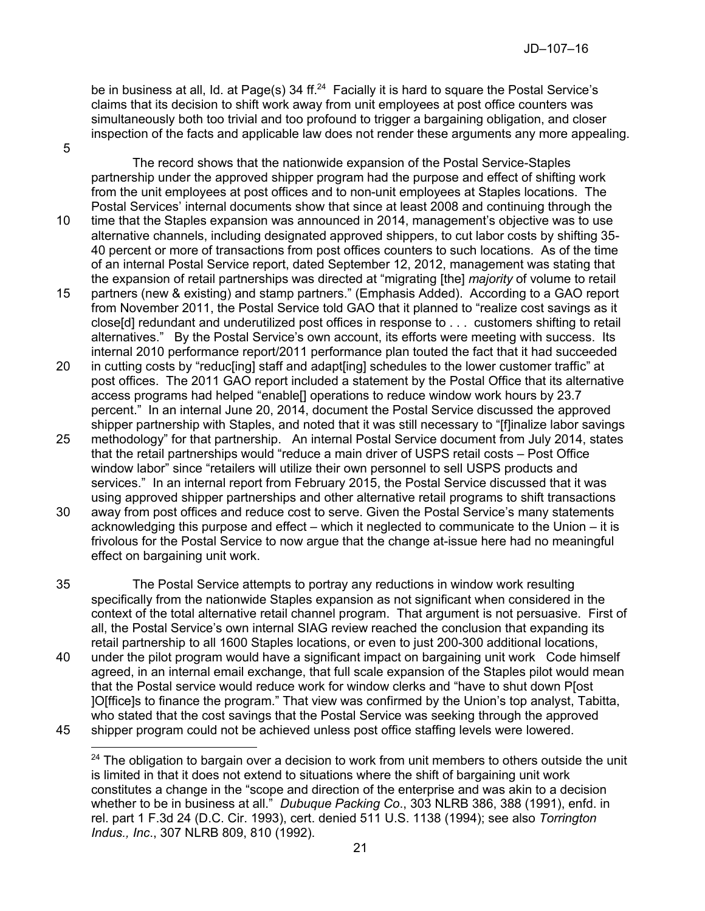be in business at all, Id. at Page(s) 34 ff. $24$  Facially it is hard to square the Postal Service's claims that its decision to shift work away from unit employees at post office counters was simultaneously both too trivial and too profound to trigger a bargaining obligation, and closer inspection of the facts and applicable law does not render these arguments any more appealing.

5

The record shows that the nationwide expansion of the Postal Service-Staples partnership under the approved shipper program had the purpose and effect of shifting work from the unit employees at post offices and to non-unit employees at Staples locations. The Postal Services' internal documents show that since at least 2008 and continuing through the

- 10 time that the Staples expansion was announced in 2014, management's objective was to use alternative channels, including designated approved shippers, to cut labor costs by shifting 35- 40 percent or more of transactions from post offices counters to such locations. As of the time of an internal Postal Service report, dated September 12, 2012, management was stating that the expansion of retail partnerships was directed at "migrating [the] *majority* of volume to retail
- 15 partners (new & existing) and stamp partners." (Emphasis Added). According to a GAO report from November 2011, the Postal Service told GAO that it planned to "realize cost savings as it close[d] redundant and underutilized post offices in response to . . . customers shifting to retail alternatives." By the Postal Service's own account, its efforts were meeting with success. Its internal 2010 performance report/2011 performance plan touted the fact that it had succeeded
- 20 in cutting costs by "reduc[ing] staff and adapt[ing] schedules to the lower customer traffic" at post offices. The 2011 GAO report included a statement by the Postal Office that its alternative access programs had helped "enable[] operations to reduce window work hours by 23.7 percent." In an internal June 20, 2014, document the Postal Service discussed the approved shipper partnership with Staples, and noted that it was still necessary to "[f]inalize labor savings
- 25 methodology" for that partnership. An internal Postal Service document from July 2014, states that the retail partnerships would "reduce a main driver of USPS retail costs – Post Office window labor" since "retailers will utilize their own personnel to sell USPS products and services." In an internal report from February 2015, the Postal Service discussed that it was using approved shipper partnerships and other alternative retail programs to shift transactions
- 30 away from post offices and reduce cost to serve. Given the Postal Service's many statements acknowledging this purpose and effect – which it neglected to communicate to the Union – it is frivolous for the Postal Service to now argue that the change at-issue here had no meaningful effect on bargaining unit work.
- 35 The Postal Service attempts to portray any reductions in window work resulting specifically from the nationwide Staples expansion as not significant when considered in the context of the total alternative retail channel program. That argument is not persuasive. First of all, the Postal Service's own internal SIAG review reached the conclusion that expanding its retail partnership to all 1600 Staples locations, or even to just 200-300 additional locations,
- 40 under the pilot program would have a significant impact on bargaining unit work Code himself agreed, in an internal email exchange, that full scale expansion of the Staples pilot would mean that the Postal service would reduce work for window clerks and "have to shut down P[ost ]O[ffice]s to finance the program." That view was confirmed by the Union's top analyst, Tabitta, who stated that the cost savings that the Postal Service was seeking through the approved 45 shipper program could not be achieved unless post office staffing levels were lowered.

 $\overline{a}$  $24$  The obligation to bargain over a decision to work from unit members to others outside the unit is limited in that it does not extend to situations where the shift of bargaining unit work constitutes a change in the "scope and direction of the enterprise and was akin to a decision whether to be in business at all." *Dubuque Packing Co*., 303 NLRB 386, 388 (1991), enfd. in rel. part 1 F.3d 24 (D.C. Cir. 1993), cert. denied 511 U.S. 1138 (1994); see also *Torrington Indus., Inc*., 307 NLRB 809, 810 (1992).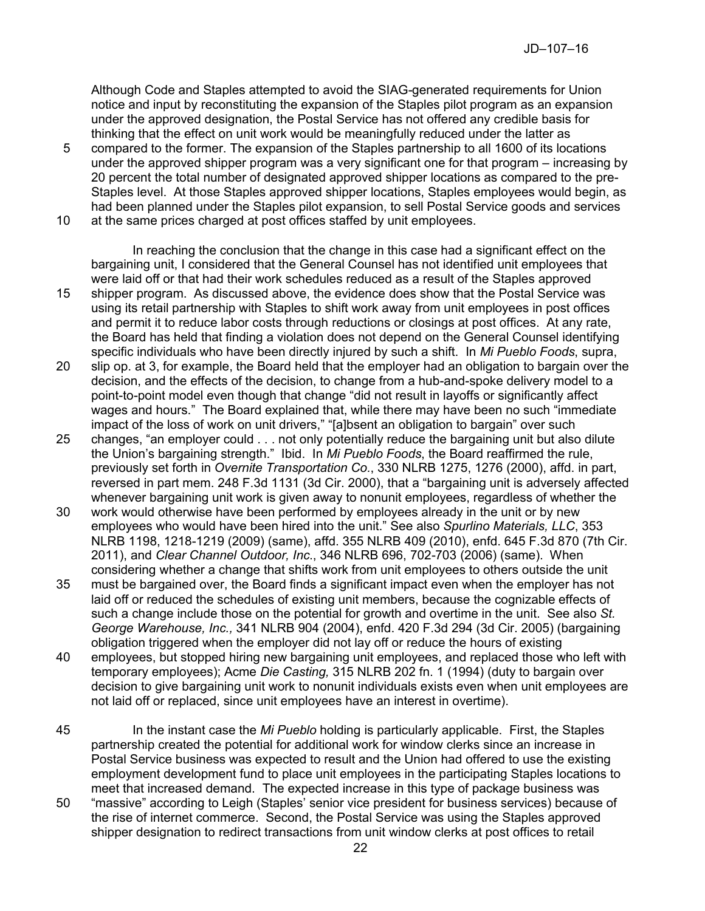Although Code and Staples attempted to avoid the SIAG-generated requirements for Union notice and input by reconstituting the expansion of the Staples pilot program as an expansion under the approved designation, the Postal Service has not offered any credible basis for thinking that the effect on unit work would be meaningfully reduced under the latter as

- 5 compared to the former. The expansion of the Staples partnership to all 1600 of its locations under the approved shipper program was a very significant one for that program – increasing by 20 percent the total number of designated approved shipper locations as compared to the pre-Staples level. At those Staples approved shipper locations, Staples employees would begin, as had been planned under the Staples pilot expansion, to sell Postal Service goods and services
- 10 at the same prices charged at post offices staffed by unit employees.

In reaching the conclusion that the change in this case had a significant effect on the bargaining unit, I considered that the General Counsel has not identified unit employees that were laid off or that had their work schedules reduced as a result of the Staples approved

- 15 shipper program. As discussed above, the evidence does show that the Postal Service was using its retail partnership with Staples to shift work away from unit employees in post offices and permit it to reduce labor costs through reductions or closings at post offices. At any rate, the Board has held that finding a violation does not depend on the General Counsel identifying specific individuals who have been directly injured by such a shift. In *Mi Pueblo Foods*, supra,
- 20 slip op. at 3, for example, the Board held that the employer had an obligation to bargain over the decision, and the effects of the decision, to change from a hub-and-spoke delivery model to a point-to-point model even though that change "did not result in layoffs or significantly affect wages and hours." The Board explained that, while there may have been no such "immediate impact of the loss of work on unit drivers," "[a]bsent an obligation to bargain" over such
- 25 changes, "an employer could . . . not only potentially reduce the bargaining unit but also dilute the Union's bargaining strength." Ibid. In *Mi Pueblo Foods*, the Board reaffirmed the rule, previously set forth in *Overnite Transportation Co.*, 330 NLRB 1275, 1276 (2000), affd. in part, reversed in part mem. 248 F.3d 1131 (3d Cir. 2000), that a "bargaining unit is adversely affected whenever bargaining unit work is given away to nonunit employees, regardless of whether the
- 30 work would otherwise have been performed by employees already in the unit or by new employees who would have been hired into the unit." See also *Spurlino Materials, LLC*, 353 NLRB 1198, 1218-1219 (2009) (same), affd. 355 NLRB 409 (2010), enfd. 645 F.3d 870 (7th Cir. 2011), and *Clear Channel Outdoor, Inc*., 346 NLRB 696, 702-703 (2006) (same). When considering whether a change that shifts work from unit employees to others outside the unit
- 35 must be bargained over, the Board finds a significant impact even when the employer has not laid off or reduced the schedules of existing unit members, because the cognizable effects of such a change include those on the potential for growth and overtime in the unit. See also *St. George Warehouse, Inc.,* 341 NLRB 904 (2004), enfd. 420 F.3d 294 (3d Cir. 2005) (bargaining obligation triggered when the employer did not lay off or reduce the hours of existing
- 40 employees, but stopped hiring new bargaining unit employees, and replaced those who left with temporary employees); Acme *Die Casting,* 315 NLRB 202 fn. 1 (1994) (duty to bargain over decision to give bargaining unit work to nonunit individuals exists even when unit employees are not laid off or replaced, since unit employees have an interest in overtime).
- 45 In the instant case the *Mi Pueblo* holding is particularly applicable. First, the Staples partnership created the potential for additional work for window clerks since an increase in Postal Service business was expected to result and the Union had offered to use the existing employment development fund to place unit employees in the participating Staples locations to meet that increased demand. The expected increase in this type of package business was
- 50 "massive" according to Leigh (Staples' senior vice president for business services) because of the rise of internet commerce. Second, the Postal Service was using the Staples approved shipper designation to redirect transactions from unit window clerks at post offices to retail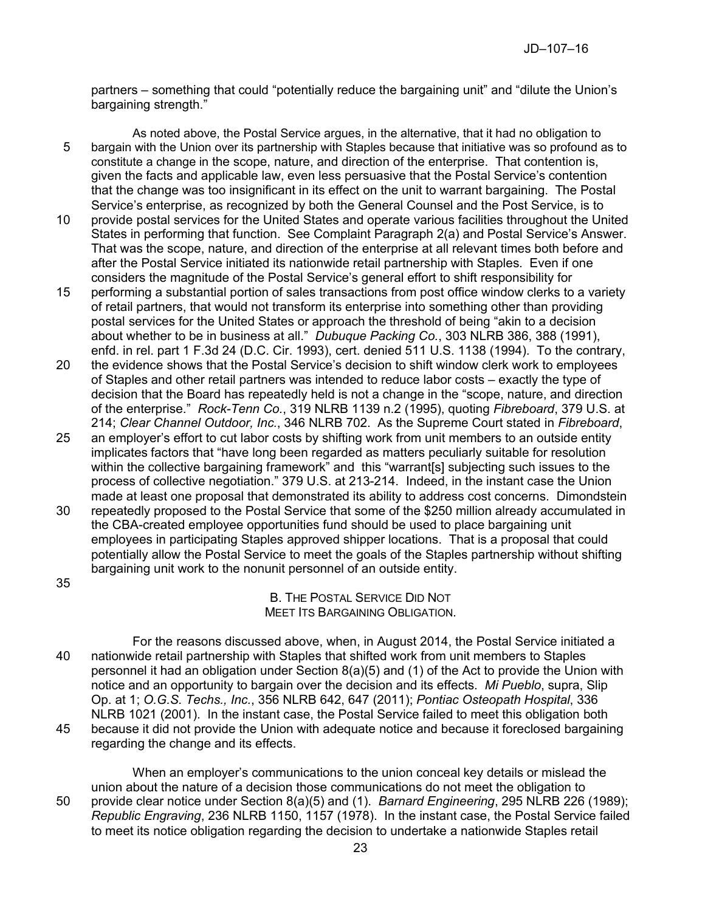partners – something that could "potentially reduce the bargaining unit" and "dilute the Union's bargaining strength."

- As noted above, the Postal Service argues, in the alternative, that it had no obligation to 5 bargain with the Union over its partnership with Staples because that initiative was so profound as to constitute a change in the scope, nature, and direction of the enterprise. That contention is, given the facts and applicable law, even less persuasive that the Postal Service's contention that the change was too insignificant in its effect on the unit to warrant bargaining. The Postal Service's enterprise, as recognized by both the General Counsel and the Post Service, is to
- 10 provide postal services for the United States and operate various facilities throughout the United States in performing that function. See Complaint Paragraph 2(a) and Postal Service's Answer. That was the scope, nature, and direction of the enterprise at all relevant times both before and after the Postal Service initiated its nationwide retail partnership with Staples. Even if one considers the magnitude of the Postal Service's general effort to shift responsibility for
- 15 performing a substantial portion of sales transactions from post office window clerks to a variety of retail partners, that would not transform its enterprise into something other than providing postal services for the United States or approach the threshold of being "akin to a decision about whether to be in business at all." *Dubuque Packing Co.*, 303 NLRB 386, 388 (1991), enfd. in rel. part 1 F.3d 24 (D.C. Cir. 1993), cert. denied 511 U.S. 1138 (1994). To the contrary,
- 20 the evidence shows that the Postal Service's decision to shift window clerk work to employees of Staples and other retail partners was intended to reduce labor costs – exactly the type of decision that the Board has repeatedly held is not a change in the "scope, nature, and direction of the enterprise." *Rock-Tenn Co.*, 319 NLRB 1139 n.2 (1995), quoting *Fibreboard*, 379 U.S. at 214; *Clear Channel Outdoor, Inc.*, 346 NLRB 702. As the Supreme Court stated in *Fibreboard*,
- 25 an employer's effort to cut labor costs by shifting work from unit members to an outside entity implicates factors that "have long been regarded as matters peculiarly suitable for resolution within the collective bargaining framework" and this "warrant[s] subjecting such issues to the process of collective negotiation." 379 U.S. at 213-214. Indeed, in the instant case the Union made at least one proposal that demonstrated its ability to address cost concerns. Dimondstein
- 30 repeatedly proposed to the Postal Service that some of the \$250 million already accumulated in the CBA-created employee opportunities fund should be used to place bargaining unit employees in participating Staples approved shipper locations. That is a proposal that could potentially allow the Postal Service to meet the goals of the Staples partnership without shifting bargaining unit work to the nonunit personnel of an outside entity.
- 35

B. THE POSTAL SERVICE DID NOT MEET ITS BARGAINING OBLIGATION.

For the reasons discussed above, when, in August 2014, the Postal Service initiated a 40 nationwide retail partnership with Staples that shifted work from unit members to Staples personnel it had an obligation under Section 8(a)(5) and (1) of the Act to provide the Union with notice and an opportunity to bargain over the decision and its effects. *Mi Pueblo*, supra, Slip Op. at 1; *O.G.S. Techs., Inc.*, 356 NLRB 642, 647 (2011); *Pontiac Osteopath Hospital*, 336 NLRB 1021 (2001). In the instant case, the Postal Service failed to meet this obligation both 45 because it did not provide the Union with adequate notice and because it foreclosed bargaining regarding the change and its effects.

When an employer's communications to the union conceal key details or mislead the union about the nature of a decision those communications do not meet the obligation to 50 provide clear notice under Section 8(a)(5) and (1). *Barnard Engineering*, 295 NLRB 226 (1989); *Republic Engraving*, 236 NLRB 1150, 1157 (1978). In the instant case, the Postal Service failed to meet its notice obligation regarding the decision to undertake a nationwide Staples retail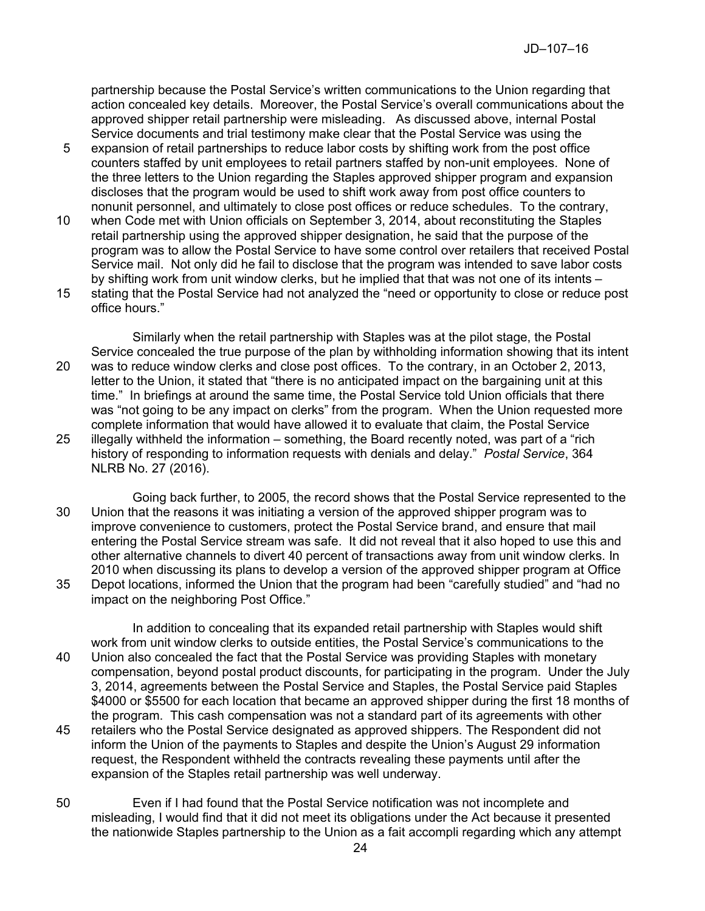partnership because the Postal Service's written communications to the Union regarding that action concealed key details. Moreover, the Postal Service's overall communications about the approved shipper retail partnership were misleading. As discussed above, internal Postal Service documents and trial testimony make clear that the Postal Service was using the

- 5 expansion of retail partnerships to reduce labor costs by shifting work from the post office counters staffed by unit employees to retail partners staffed by non-unit employees. None of the three letters to the Union regarding the Staples approved shipper program and expansion discloses that the program would be used to shift work away from post office counters to nonunit personnel, and ultimately to close post offices or reduce schedules. To the contrary,
- 10 when Code met with Union officials on September 3, 2014, about reconstituting the Staples retail partnership using the approved shipper designation, he said that the purpose of the program was to allow the Postal Service to have some control over retailers that received Postal Service mail. Not only did he fail to disclose that the program was intended to save labor costs by shifting work from unit window clerks, but he implied that that was not one of its intents –
- 15 stating that the Postal Service had not analyzed the "need or opportunity to close or reduce post office hours."

Similarly when the retail partnership with Staples was at the pilot stage, the Postal Service concealed the true purpose of the plan by withholding information showing that its intent 20 was to reduce window clerks and close post offices. To the contrary, in an October 2, 2013, letter to the Union, it stated that "there is no anticipated impact on the bargaining unit at this time." In briefings at around the same time, the Postal Service told Union officials that there was "not going to be any impact on clerks" from the program. When the Union requested more complete information that would have allowed it to evaluate that claim, the Postal Service 25 illegally withheld the information – something, the Board recently noted, was part of a "rich history of responding to information requests with denials and delay." *Postal Service*, 364 NLRB No. 27 (2016).

Going back further, to 2005, the record shows that the Postal Service represented to the 30 Union that the reasons it was initiating a version of the approved shipper program was to improve convenience to customers, protect the Postal Service brand, and ensure that mail entering the Postal Service stream was safe. It did not reveal that it also hoped to use this and other alternative channels to divert 40 percent of transactions away from unit window clerks. In 2010 when discussing its plans to develop a version of the approved shipper program at Office 35 Depot locations, informed the Union that the program had been "carefully studied" and "had no impact on the neighboring Post Office."

In addition to concealing that its expanded retail partnership with Staples would shift work from unit window clerks to outside entities, the Postal Service's communications to the 40 Union also concealed the fact that the Postal Service was providing Staples with monetary compensation, beyond postal product discounts, for participating in the program. Under the July 3, 2014, agreements between the Postal Service and Staples, the Postal Service paid Staples \$4000 or \$5500 for each location that became an approved shipper during the first 18 months of the program. This cash compensation was not a standard part of its agreements with other 45 retailers who the Postal Service designated as approved shippers. The Respondent did not inform the Union of the payments to Staples and despite the Union's August 29 information request, the Respondent withheld the contracts revealing these payments until after the expansion of the Staples retail partnership was well underway.

50 Even if I had found that the Postal Service notification was not incomplete and misleading, I would find that it did not meet its obligations under the Act because it presented the nationwide Staples partnership to the Union as a fait accompli regarding which any attempt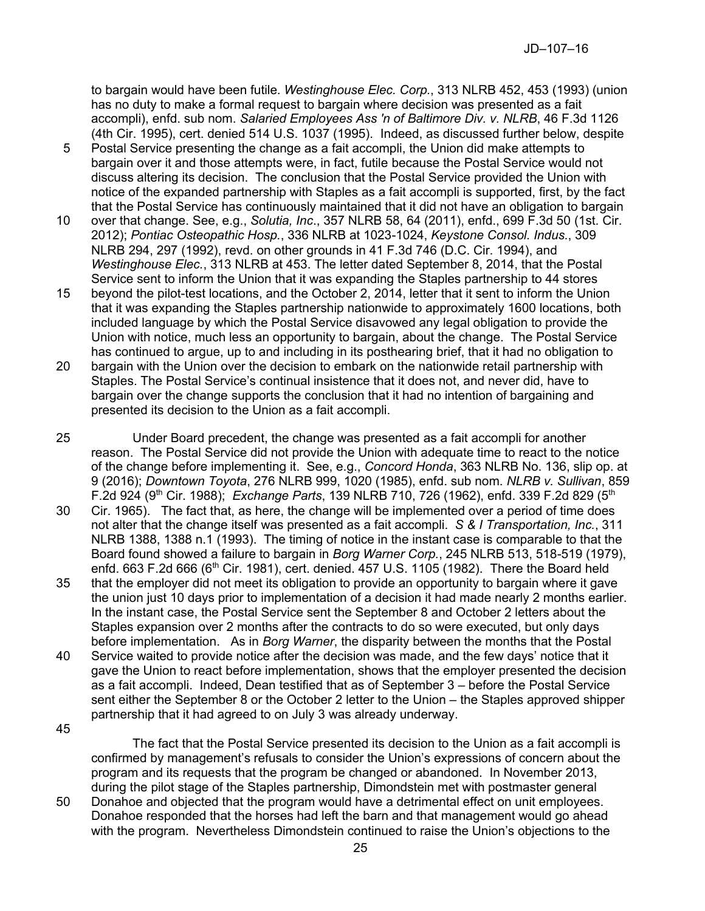to bargain would have been futile. *Westinghouse Elec. Corp.*, 313 NLRB 452, 453 (1993) (union has no duty to make a formal request to bargain where decision was presented as a fait accompli), enfd. sub nom. *Salaried Employees Ass 'n of Baltimore Div. v. NLRB*, 46 F.3d 1126 (4th Cir. 1995), cert. denied 514 U.S. 1037 (1995). Indeed, as discussed further below, despite

- 5 Postal Service presenting the change as a fait accompli, the Union did make attempts to bargain over it and those attempts were, in fact, futile because the Postal Service would not discuss altering its decision. The conclusion that the Postal Service provided the Union with notice of the expanded partnership with Staples as a fait accompli is supported, first, by the fact that the Postal Service has continuously maintained that it did not have an obligation to bargain
- 10 over that change. See, e.g., *Solutia, Inc*., 357 NLRB 58, 64 (2011), enfd., 699 F.3d 50 (1st. Cir. 2012); *Pontiac Osteopathic Hosp.*, 336 NLRB at 1023-1024, *Keystone Consol. Indus.*, 309 NLRB 294, 297 (1992), revd. on other grounds in 41 F.3d 746 (D.C. Cir. 1994), and *Westinghouse Elec.*, 313 NLRB at 453. The letter dated September 8, 2014, that the Postal Service sent to inform the Union that it was expanding the Staples partnership to 44 stores
- 15 beyond the pilot-test locations, and the October 2, 2014, letter that it sent to inform the Union that it was expanding the Staples partnership nationwide to approximately 1600 locations, both included language by which the Postal Service disavowed any legal obligation to provide the Union with notice, much less an opportunity to bargain, about the change. The Postal Service has continued to argue, up to and including in its posthearing brief, that it had no obligation to
- 20 bargain with the Union over the decision to embark on the nationwide retail partnership with Staples. The Postal Service's continual insistence that it does not, and never did, have to bargain over the change supports the conclusion that it had no intention of bargaining and presented its decision to the Union as a fait accompli.
- 25 Under Board precedent, the change was presented as a fait accompli for another reason. The Postal Service did not provide the Union with adequate time to react to the notice of the change before implementing it. See, e.g., *Concord Honda*, 363 NLRB No. 136, slip op. at 9 (2016); *Downtown Toyota*, 276 NLRB 999, 1020 (1985), enfd. sub nom. *NLRB v. Sullivan*, 859 F.2d 924 (9th Cir. 1988); *Exchange Parts*, 139 NLRB 710, 726 (1962), enfd. 339 F.2d 829 (5th
- 30 Cir. 1965). The fact that, as here, the change will be implemented over a period of time does not alter that the change itself was presented as a fait accompli. *S & I Transportation, Inc.*, 311 NLRB 1388, 1388 n.1 (1993). The timing of notice in the instant case is comparable to that the Board found showed a failure to bargain in *Borg Warner Corp.*, 245 NLRB 513, 518-519 (1979), enfd. 663 F.2d 666 (6<sup>th</sup> Cir. 1981), cert. denied. 457 U.S. 1105 (1982). There the Board held
- 35 that the employer did not meet its obligation to provide an opportunity to bargain where it gave the union just 10 days prior to implementation of a decision it had made nearly 2 months earlier. In the instant case, the Postal Service sent the September 8 and October 2 letters about the Staples expansion over 2 months after the contracts to do so were executed, but only days before implementation. As in *Borg Warner*, the disparity between the months that the Postal
- 40 Service waited to provide notice after the decision was made, and the few days' notice that it gave the Union to react before implementation, shows that the employer presented the decision as a fait accompli. Indeed, Dean testified that as of September 3 – before the Postal Service sent either the September 8 or the October 2 letter to the Union – the Staples approved shipper partnership that it had agreed to on July 3 was already underway.
- 45

The fact that the Postal Service presented its decision to the Union as a fait accompli is confirmed by management's refusals to consider the Union's expressions of concern about the program and its requests that the program be changed or abandoned. In November 2013, during the pilot stage of the Staples partnership, Dimondstein met with postmaster general

50 Donahoe and objected that the program would have a detrimental effect on unit employees. Donahoe responded that the horses had left the barn and that management would go ahead with the program. Nevertheless Dimondstein continued to raise the Union's objections to the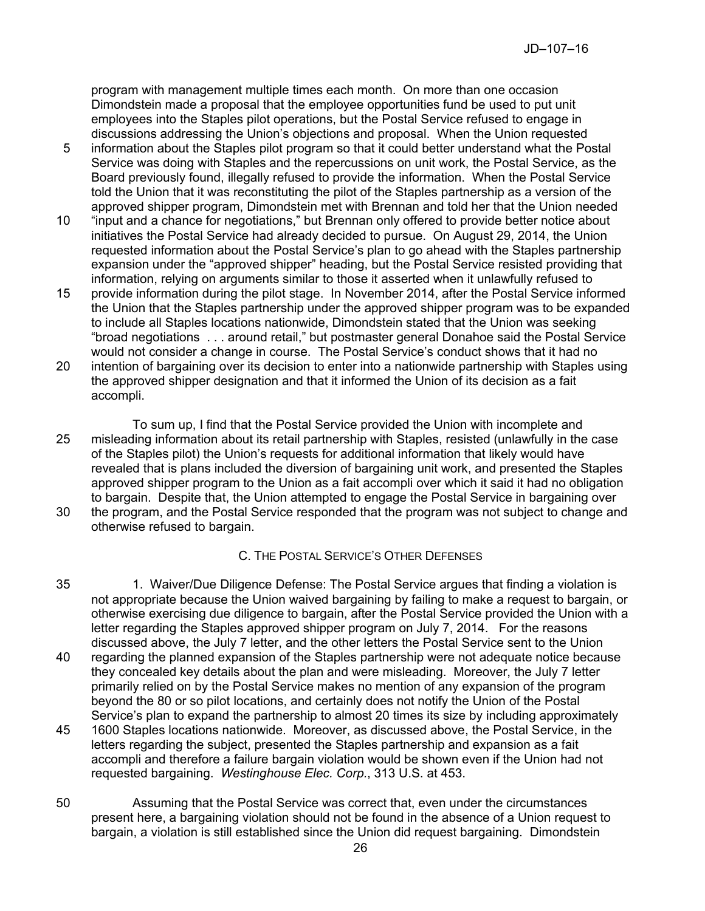program with management multiple times each month. On more than one occasion Dimondstein made a proposal that the employee opportunities fund be used to put unit employees into the Staples pilot operations, but the Postal Service refused to engage in discussions addressing the Union's objections and proposal. When the Union requested

- 5 information about the Staples pilot program so that it could better understand what the Postal Service was doing with Staples and the repercussions on unit work, the Postal Service, as the Board previously found, illegally refused to provide the information. When the Postal Service told the Union that it was reconstituting the pilot of the Staples partnership as a version of the approved shipper program, Dimondstein met with Brennan and told her that the Union needed
- 10 "input and a chance for negotiations," but Brennan only offered to provide better notice about initiatives the Postal Service had already decided to pursue. On August 29, 2014, the Union requested information about the Postal Service's plan to go ahead with the Staples partnership expansion under the "approved shipper" heading, but the Postal Service resisted providing that information, relying on arguments similar to those it asserted when it unlawfully refused to
- 15 provide information during the pilot stage. In November 2014, after the Postal Service informed the Union that the Staples partnership under the approved shipper program was to be expanded to include all Staples locations nationwide, Dimondstein stated that the Union was seeking "broad negotiations . . . around retail," but postmaster general Donahoe said the Postal Service would not consider a change in course. The Postal Service's conduct shows that it had no
- 20 intention of bargaining over its decision to enter into a nationwide partnership with Staples using the approved shipper designation and that it informed the Union of its decision as a fait accompli.
- To sum up, I find that the Postal Service provided the Union with incomplete and 25 misleading information about its retail partnership with Staples, resisted (unlawfully in the case of the Staples pilot) the Union's requests for additional information that likely would have revealed that is plans included the diversion of bargaining unit work, and presented the Staples approved shipper program to the Union as a fait accompli over which it said it had no obligation to bargain. Despite that, the Union attempted to engage the Postal Service in bargaining over
- 30 the program, and the Postal Service responded that the program was not subject to change and otherwise refused to bargain.

# C. THE POSTAL SERVICE'S OTHER DEFENSES

- 35 1. Waiver/Due Diligence Defense: The Postal Service argues that finding a violation is not appropriate because the Union waived bargaining by failing to make a request to bargain, or otherwise exercising due diligence to bargain, after the Postal Service provided the Union with a letter regarding the Staples approved shipper program on July 7, 2014. For the reasons discussed above, the July 7 letter, and the other letters the Postal Service sent to the Union
- 40 regarding the planned expansion of the Staples partnership were not adequate notice because they concealed key details about the plan and were misleading. Moreover, the July 7 letter primarily relied on by the Postal Service makes no mention of any expansion of the program beyond the 80 or so pilot locations, and certainly does not notify the Union of the Postal Service's plan to expand the partnership to almost 20 times its size by including approximately
- 45 1600 Staples locations nationwide. Moreover, as discussed above, the Postal Service, in the letters regarding the subject, presented the Staples partnership and expansion as a fait accompli and therefore a failure bargain violation would be shown even if the Union had not requested bargaining. *Westinghouse Elec. Corp.*, 313 U.S. at 453.
- 50 Assuming that the Postal Service was correct that, even under the circumstances present here, a bargaining violation should not be found in the absence of a Union request to bargain, a violation is still established since the Union did request bargaining. Dimondstein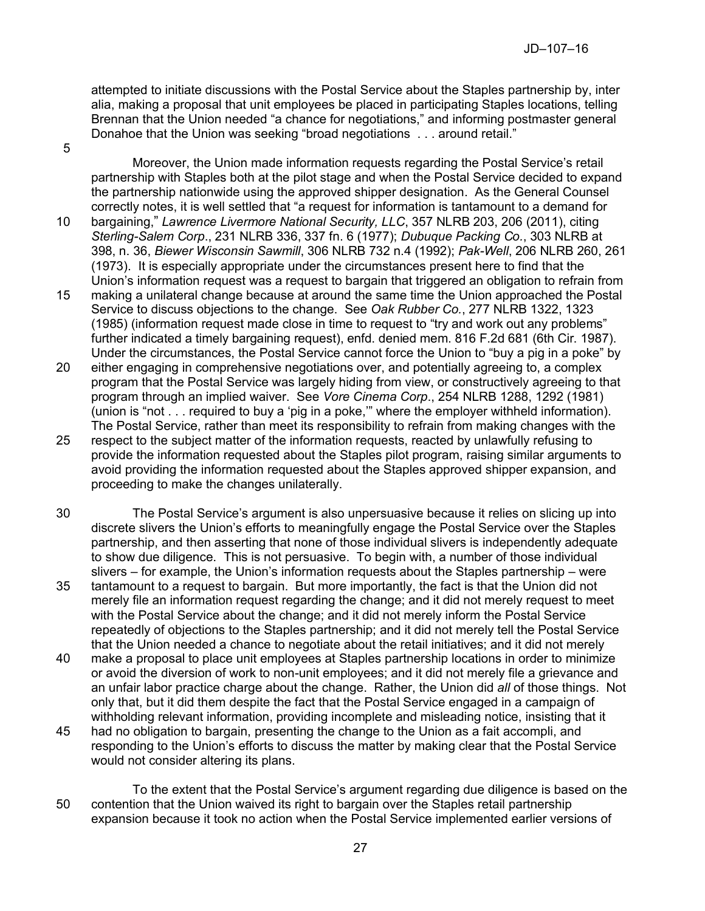attempted to initiate discussions with the Postal Service about the Staples partnership by, inter alia, making a proposal that unit employees be placed in participating Staples locations, telling Brennan that the Union needed "a chance for negotiations," and informing postmaster general Donahoe that the Union was seeking "broad negotiations . . . around retail."

5

Moreover, the Union made information requests regarding the Postal Service's retail partnership with Staples both at the pilot stage and when the Postal Service decided to expand the partnership nationwide using the approved shipper designation. As the General Counsel correctly notes, it is well settled that "a request for information is tantamount to a demand for

- 10 bargaining," *Lawrence Livermore National Security, LLC*, 357 NLRB 203, 206 (2011), citing *Sterling-Salem Corp*., 231 NLRB 336, 337 fn. 6 (1977); *Dubuque Packing Co.*, 303 NLRB at 398, n. 36, *Biewer Wisconsin Sawmill*, 306 NLRB 732 n.4 (1992); *Pak-Well*, 206 NLRB 260, 261 (1973). It is especially appropriate under the circumstances present here to find that the Union's information request was a request to bargain that triggered an obligation to refrain from
- 15 making a unilateral change because at around the same time the Union approached the Postal Service to discuss objections to the change. See *Oak Rubber Co.*, 277 NLRB 1322, 1323 (1985) (information request made close in time to request to "try and work out any problems" further indicated a timely bargaining request), enfd. denied mem. 816 F.2d 681 (6th Cir. 1987). Under the circumstances, the Postal Service cannot force the Union to "buy a pig in a poke" by
- 20 either engaging in comprehensive negotiations over, and potentially agreeing to, a complex program that the Postal Service was largely hiding from view, or constructively agreeing to that program through an implied waiver. See *Vore Cinema Corp*., 254 NLRB 1288, 1292 (1981) (union is "not . . . required to buy a 'pig in a poke,'" where the employer withheld information). The Postal Service, rather than meet its responsibility to refrain from making changes with the
- 25 respect to the subject matter of the information requests, reacted by unlawfully refusing to provide the information requested about the Staples pilot program, raising similar arguments to avoid providing the information requested about the Staples approved shipper expansion, and proceeding to make the changes unilaterally.
- 30 The Postal Service's argument is also unpersuasive because it relies on slicing up into discrete slivers the Union's efforts to meaningfully engage the Postal Service over the Staples partnership, and then asserting that none of those individual slivers is independently adequate to show due diligence. This is not persuasive. To begin with, a number of those individual slivers – for example, the Union's information requests about the Staples partnership – were
- 35 tantamount to a request to bargain. But more importantly, the fact is that the Union did not merely file an information request regarding the change; and it did not merely request to meet with the Postal Service about the change; and it did not merely inform the Postal Service repeatedly of objections to the Staples partnership; and it did not merely tell the Postal Service that the Union needed a chance to negotiate about the retail initiatives; and it did not merely
- 40 make a proposal to place unit employees at Staples partnership locations in order to minimize or avoid the diversion of work to non-unit employees; and it did not merely file a grievance and an unfair labor practice charge about the change. Rather, the Union did *all* of those things. Not only that, but it did them despite the fact that the Postal Service engaged in a campaign of withholding relevant information, providing incomplete and misleading notice, insisting that it
- 45 had no obligation to bargain, presenting the change to the Union as a fait accompli, and responding to the Union's efforts to discuss the matter by making clear that the Postal Service would not consider altering its plans.
- To the extent that the Postal Service's argument regarding due diligence is based on the 50 contention that the Union waived its right to bargain over the Staples retail partnership expansion because it took no action when the Postal Service implemented earlier versions of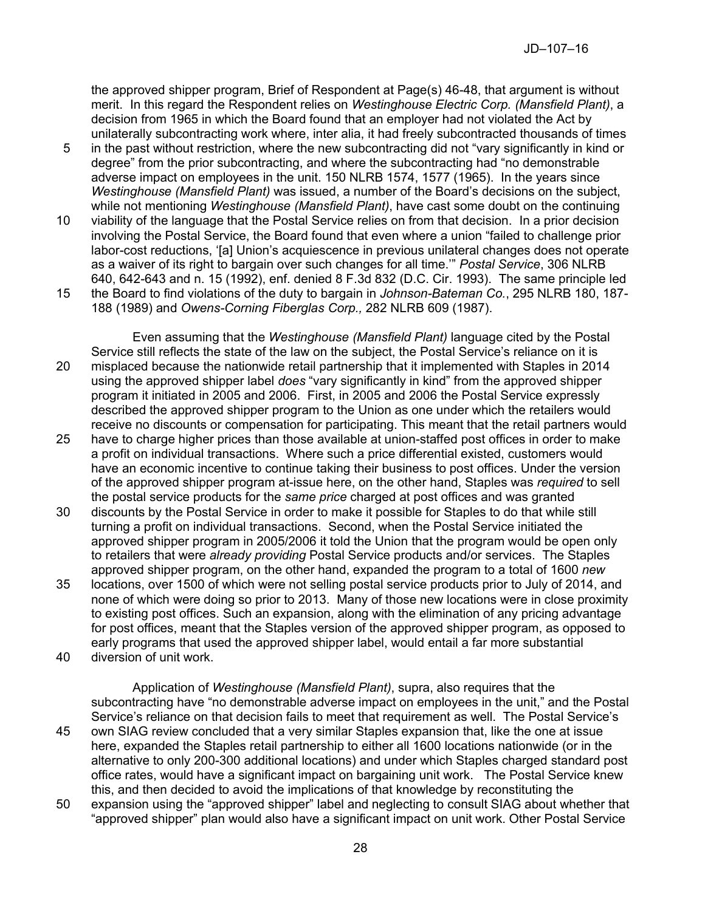the approved shipper program, Brief of Respondent at Page(s) 46-48, that argument is without merit. In this regard the Respondent relies on *Westinghouse Electric Corp. (Mansfield Plant)*, a decision from 1965 in which the Board found that an employer had not violated the Act by unilaterally subcontracting work where, inter alia, it had freely subcontracted thousands of times

- 5 in the past without restriction, where the new subcontracting did not "vary significantly in kind or degree" from the prior subcontracting, and where the subcontracting had "no demonstrable adverse impact on employees in the unit. 150 NLRB 1574, 1577 (1965). In the years since *Westinghouse (Mansfield Plant)* was issued, a number of the Board's decisions on the subject, while not mentioning *Westinghouse (Mansfield Plant)*, have cast some doubt on the continuing
- 10 viability of the language that the Postal Service relies on from that decision. In a prior decision involving the Postal Service, the Board found that even where a union "failed to challenge prior labor-cost reductions, '[a] Union's acquiescence in previous unilateral changes does not operate as a waiver of its right to bargain over such changes for all time.'" *Postal Service*, 306 NLRB 640, 642-643 and n. 15 (1992), enf. denied 8 F.3d 832 (D.C. Cir. 1993). The same principle led
- 15 the Board to find violations of the duty to bargain in *Johnson-Bateman Co.*, 295 NLRB 180, 187- 188 (1989) and *Owens-Corning Fiberglas Corp.,* 282 NLRB 609 (1987).

Even assuming that the *Westinghouse (Mansfield Plant)* language cited by the Postal Service still reflects the state of the law on the subject, the Postal Service's reliance on it is 20 misplaced because the nationwide retail partnership that it implemented with Staples in 2014 using the approved shipper label *does* "vary significantly in kind" from the approved shipper program it initiated in 2005 and 2006. First, in 2005 and 2006 the Postal Service expressly described the approved shipper program to the Union as one under which the retailers would receive no discounts or compensation for participating. This meant that the retail partners would

- 25 have to charge higher prices than those available at union-staffed post offices in order to make a profit on individual transactions. Where such a price differential existed, customers would have an economic incentive to continue taking their business to post offices. Under the version of the approved shipper program at-issue here, on the other hand, Staples was *required* to sell the postal service products for the *same price* charged at post offices and was granted
- 30 discounts by the Postal Service in order to make it possible for Staples to do that while still turning a profit on individual transactions. Second, when the Postal Service initiated the approved shipper program in 2005/2006 it told the Union that the program would be open only to retailers that were *already providing* Postal Service products and/or services. The Staples approved shipper program, on the other hand, expanded the program to a total of 1600 *new*
- 35 locations, over 1500 of which were not selling postal service products prior to July of 2014, and none of which were doing so prior to 2013. Many of those new locations were in close proximity to existing post offices. Such an expansion, along with the elimination of any pricing advantage for post offices, meant that the Staples version of the approved shipper program, as opposed to early programs that used the approved shipper label, would entail a far more substantial
- 40 diversion of unit work.

Application of *Westinghouse (Mansfield Plant)*, supra, also requires that the subcontracting have "no demonstrable adverse impact on employees in the unit," and the Postal Service's reliance on that decision fails to meet that requirement as well. The Postal Service's 45 own SIAG review concluded that a very similar Staples expansion that, like the one at issue here, expanded the Staples retail partnership to either all 1600 locations nationwide (or in the alternative to only 200-300 additional locations) and under which Staples charged standard post office rates, would have a significant impact on bargaining unit work. The Postal Service knew this, and then decided to avoid the implications of that knowledge by reconstituting the

50 expansion using the "approved shipper" label and neglecting to consult SIAG about whether that "approved shipper" plan would also have a significant impact on unit work. Other Postal Service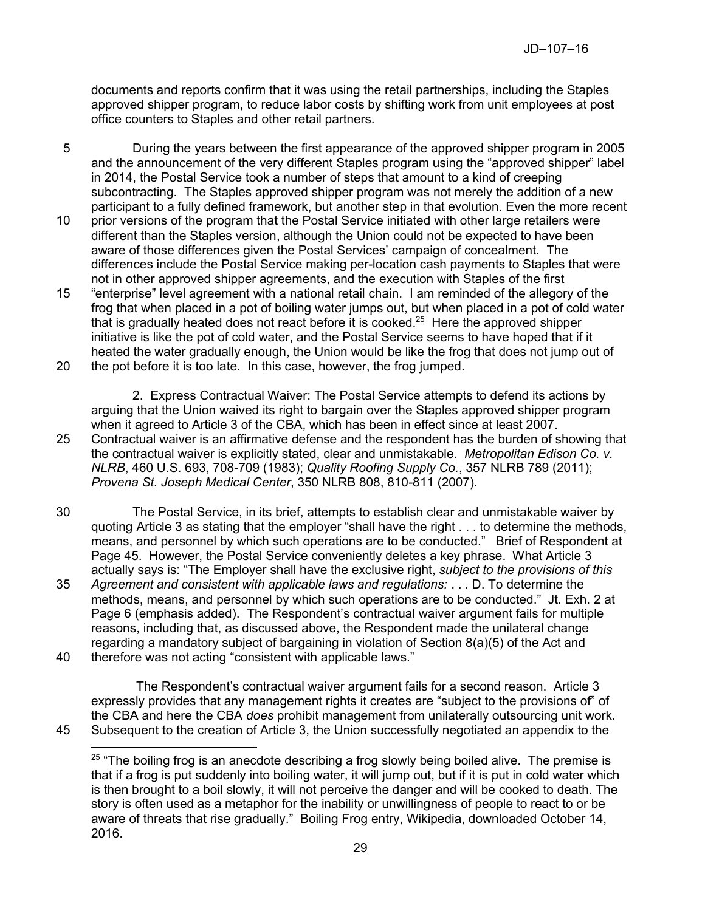documents and reports confirm that it was using the retail partnerships, including the Staples approved shipper program, to reduce labor costs by shifting work from unit employees at post office counters to Staples and other retail partners.

- 5 During the years between the first appearance of the approved shipper program in 2005 and the announcement of the very different Staples program using the "approved shipper" label in 2014, the Postal Service took a number of steps that amount to a kind of creeping subcontracting. The Staples approved shipper program was not merely the addition of a new participant to a fully defined framework, but another step in that evolution. Even the more recent
- 10 prior versions of the program that the Postal Service initiated with other large retailers were different than the Staples version, although the Union could not be expected to have been aware of those differences given the Postal Services' campaign of concealment. The differences include the Postal Service making per-location cash payments to Staples that were not in other approved shipper agreements, and the execution with Staples of the first
- 15 "enterprise" level agreement with a national retail chain. I am reminded of the allegory of the frog that when placed in a pot of boiling water jumps out, but when placed in a pot of cold water that is gradually heated does not react before it is cooked.<sup>25</sup> Here the approved shipper initiative is like the pot of cold water, and the Postal Service seems to have hoped that if it heated the water gradually enough, the Union would be like the frog that does not jump out of 20 the pot before it is too late. In this case, however, the frog jumped.

2. Express Contractual Waiver: The Postal Service attempts to defend its actions by arguing that the Union waived its right to bargain over the Staples approved shipper program when it agreed to Article 3 of the CBA, which has been in effect since at least 2007. 25 Contractual waiver is an affirmative defense and the respondent has the burden of showing that the contractual waiver is explicitly stated, clear and unmistakable. *Metropolitan Edison Co. v. NLRB*, 460 U.S. 693, 708-709 (1983); *Quality Roofing Supply Co.*, 357 NLRB 789 (2011); *Provena St. Joseph Medical Center*, 350 NLRB 808, 810-811 (2007).

- 30 The Postal Service, in its brief, attempts to establish clear and unmistakable waiver by quoting Article 3 as stating that the employer "shall have the right . . . to determine the methods, means, and personnel by which such operations are to be conducted." Brief of Respondent at Page 45. However, the Postal Service conveniently deletes a key phrase. What Article 3 actually says is: "The Employer shall have the exclusive right, *subject to the provisions of this*  35 *Agreement and consistent with applicable laws and regulations:* . . . D. To determine the methods, means, and personnel by which such operations are to be conducted." Jt. Exh. 2 at Page 6 (emphasis added). The Respondent's contractual waiver argument fails for multiple reasons, including that, as discussed above, the Respondent made the unilateral change regarding a mandatory subject of bargaining in violation of Section 8(a)(5) of the Act and
- 40 therefore was not acting "consistent with applicable laws."

The Respondent's contractual waiver argument fails for a second reason. Article 3 expressly provides that any management rights it creates are "subject to the provisions of" of the CBA and here the CBA *does* prohibit management from unilaterally outsourcing unit work. 45 Subsequent to the creation of Article 3, the Union successfully negotiated an appendix to the

 $\overline{a}$  $25$  "The boiling frog is an anecdote describing a frog slowly being boiled alive. The premise is that if a frog is put suddenly into boiling water, it will jump out, but if it is put in cold water which is then brought to a boil slowly, it will not perceive the danger and will be cooked to death. The story is often used as a metaphor for the inability or unwillingness of people to react to or be aware of threats that rise gradually." Boiling Frog entry, Wikipedia, downloaded October 14, 2016.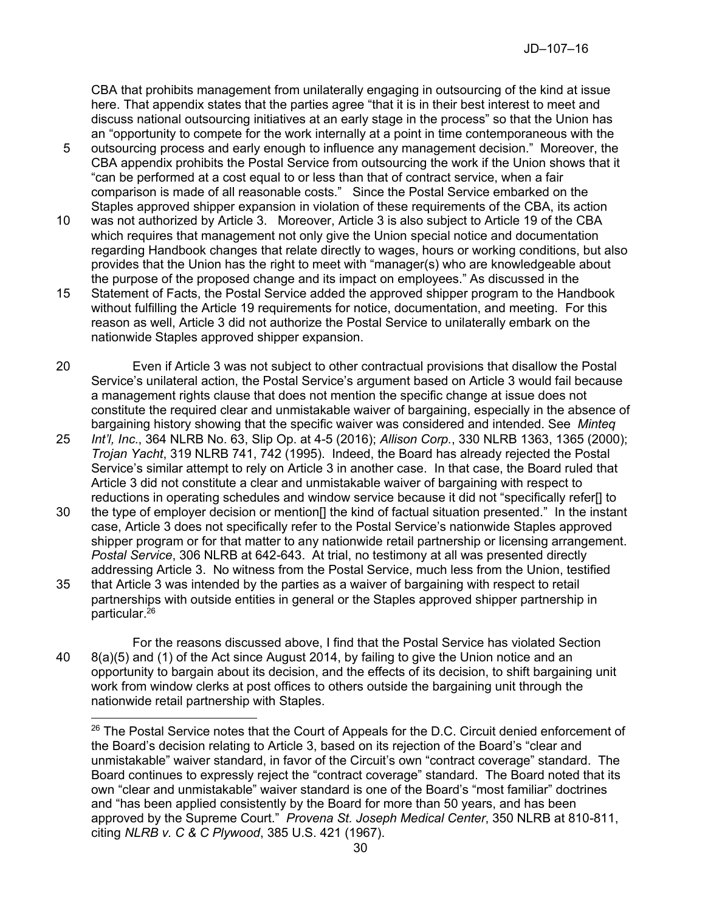CBA that prohibits management from unilaterally engaging in outsourcing of the kind at issue here. That appendix states that the parties agree "that it is in their best interest to meet and discuss national outsourcing initiatives at an early stage in the process" so that the Union has an "opportunity to compete for the work internally at a point in time contemporaneous with the

- 5 outsourcing process and early enough to influence any management decision." Moreover, the CBA appendix prohibits the Postal Service from outsourcing the work if the Union shows that it "can be performed at a cost equal to or less than that of contract service, when a fair comparison is made of all reasonable costs." Since the Postal Service embarked on the Staples approved shipper expansion in violation of these requirements of the CBA, its action
- 10 was not authorized by Article 3. Moreover, Article 3 is also subject to Article 19 of the CBA which requires that management not only give the Union special notice and documentation regarding Handbook changes that relate directly to wages, hours or working conditions, but also provides that the Union has the right to meet with "manager(s) who are knowledgeable about the purpose of the proposed change and its impact on employees." As discussed in the
- 15 Statement of Facts, the Postal Service added the approved shipper program to the Handbook without fulfilling the Article 19 requirements for notice, documentation, and meeting. For this reason as well, Article 3 did not authorize the Postal Service to unilaterally embark on the nationwide Staples approved shipper expansion.
- 20 Even if Article 3 was not subject to other contractual provisions that disallow the Postal Service's unilateral action, the Postal Service's argument based on Article 3 would fail because a management rights clause that does not mention the specific change at issue does not constitute the required clear and unmistakable waiver of bargaining, especially in the absence of bargaining history showing that the specific waiver was considered and intended. See *Minteq*
- 25 *Int'l, Inc.*, 364 NLRB No. 63, Slip Op. at 4-5 (2016); *Allison Corp.*, 330 NLRB 1363, 1365 (2000); *Trojan Yacht*, 319 NLRB 741, 742 (1995). Indeed, the Board has already rejected the Postal Service's similar attempt to rely on Article 3 in another case. In that case, the Board ruled that Article 3 did not constitute a clear and unmistakable waiver of bargaining with respect to reductions in operating schedules and window service because it did not "specifically refer[] to
- 30 the type of employer decision or mention[] the kind of factual situation presented." In the instant case, Article 3 does not specifically refer to the Postal Service's nationwide Staples approved shipper program or for that matter to any nationwide retail partnership or licensing arrangement. *Postal Service*, 306 NLRB at 642-643. At trial, no testimony at all was presented directly addressing Article 3. No witness from the Postal Service, much less from the Union, testified
- 35 that Article 3 was intended by the parties as a waiver of bargaining with respect to retail partnerships with outside entities in general or the Staples approved shipper partnership in particular.<sup>26</sup>
- For the reasons discussed above, I find that the Postal Service has violated Section 40 8(a)(5) and (1) of the Act since August 2014, by failing to give the Union notice and an opportunity to bargain about its decision, and the effects of its decision, to shift bargaining unit work from window clerks at post offices to others outside the bargaining unit through the nationwide retail partnership with Staples.

 $\overline{a}$ 

<sup>&</sup>lt;sup>26</sup> The Postal Service notes that the Court of Appeals for the D.C. Circuit denied enforcement of the Board's decision relating to Article 3, based on its rejection of the Board's "clear and unmistakable" waiver standard, in favor of the Circuit's own "contract coverage" standard. The Board continues to expressly reject the "contract coverage" standard. The Board noted that its own "clear and unmistakable" waiver standard is one of the Board's "most familiar" doctrines and "has been applied consistently by the Board for more than 50 years, and has been approved by the Supreme Court." *Provena St. Joseph Medical Center*, 350 NLRB at 810-811, citing *NLRB v. C & C Plywood*, 385 U.S. 421 (1967).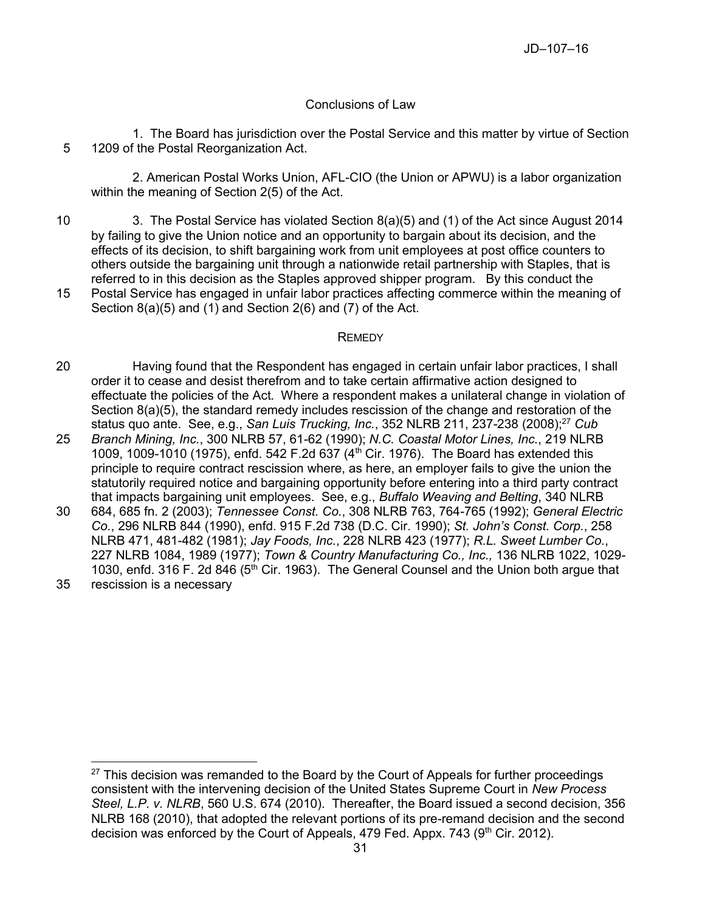# Conclusions of Law

1. The Board has jurisdiction over the Postal Service and this matter by virtue of Section 5 1209 of the Postal Reorganization Act.

2. American Postal Works Union, AFL-CIO (the Union or APWU) is a labor organization within the meaning of Section 2(5) of the Act.

- 10 3. The Postal Service has violated Section 8(a)(5) and (1) of the Act since August 2014 by failing to give the Union notice and an opportunity to bargain about its decision, and the effects of its decision, to shift bargaining work from unit employees at post office counters to others outside the bargaining unit through a nationwide retail partnership with Staples, that is referred to in this decision as the Staples approved shipper program. By this conduct the
- 15 Postal Service has engaged in unfair labor practices affecting commerce within the meaning of Section 8(a)(5) and (1) and Section 2(6) and (7) of the Act.

#### **REMEDY**

- 20 Having found that the Respondent has engaged in certain unfair labor practices, I shall order it to cease and desist therefrom and to take certain affirmative action designed to effectuate the policies of the Act. Where a respondent makes a unilateral change in violation of Section 8(a)(5), the standard remedy includes rescission of the change and restoration of the status quo ante. See, e.g., *San Luis Trucking, Inc.*, 352 NLRB 211, 237-238 (2008);<sup>27</sup> *Cub*
- 25 *Branch Mining, Inc.*, 300 NLRB 57, 61-62 (1990); *N.C. Coastal Motor Lines, Inc.*, 219 NLRB 1009, 1009-1010 (1975), enfd. 542 F.2d 637 ( $4<sup>th</sup>$  Cir. 1976). The Board has extended this principle to require contract rescission where, as here, an employer fails to give the union the statutorily required notice and bargaining opportunity before entering into a third party contract that impacts bargaining unit employees. See, e.g., *Buffalo Weaving and Belting*, 340 NLRB
- 30 684, 685 fn. 2 (2003); *Tennessee Const. Co.*, 308 NLRB 763, 764-765 (1992); *General Electric Co.*, 296 NLRB 844 (1990), enfd. 915 F.2d 738 (D.C. Cir. 1990); *St. John's Const. Corp.*, 258 NLRB 471, 481-482 (1981); *Jay Foods, Inc.*, 228 NLRB 423 (1977); *R.L. Sweet Lumber Co.*, 227 NLRB 1084, 1989 (1977); *Town & Country Manufacturing Co., Inc.,* 136 NLRB 1022, 1029- 1030, enfd. 316 F. 2d 846 (5<sup>th</sup> Cir. 1963). The General Counsel and the Union both argue that 35 rescission is a necessary

 $\overline{a}$  $27$  This decision was remanded to the Board by the Court of Appeals for further proceedings consistent with the intervening decision of the United States Supreme Court in *New Process Steel, L.P. v. NLRB*, 560 U.S. 674 (2010). Thereafter, the Board issued a second decision, 356 NLRB 168 (2010), that adopted the relevant portions of its pre-remand decision and the second decision was enforced by the Court of Appeals, 479 Fed. Appx. 743  $(9<sup>th</sup>$  Cir. 2012).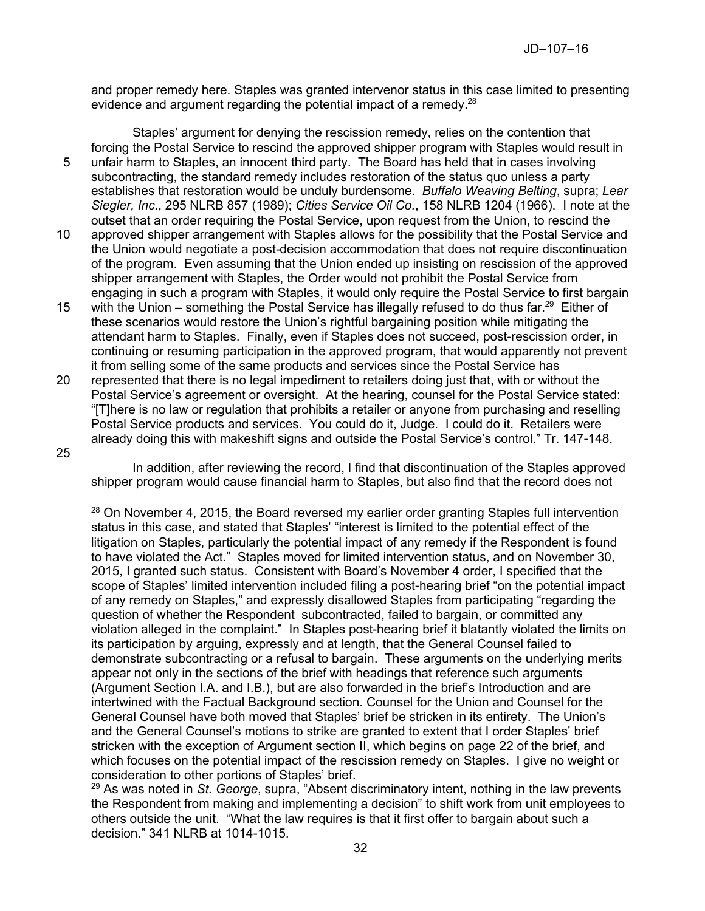and proper remedy here. Staples was granted intervenor status in this case limited to presenting evidence and argument regarding the potential impact of a remedy.<sup>28</sup>

Staples' argument for denying the rescission remedy, relies on the contention that forcing the Postal Service to rescind the approved shipper program with Staples would result in 5 unfair harm to Staples, an innocent third party. The Board has held that in cases involving subcontracting, the standard remedy includes restoration of the status quo unless a party establishes that restoration would be unduly burdensome. *Buffalo Weaving Belting*, supra; *Lear Siegler, Inc.*, 295 NLRB 857 (1989); *Cities Service Oil Co.*, 158 NLRB 1204 (1966). I note at the outset that an order requiring the Postal Service, upon request from the Union, to rescind the

- 10 approved shipper arrangement with Staples allows for the possibility that the Postal Service and the Union would negotiate a post-decision accommodation that does not require discontinuation of the program. Even assuming that the Union ended up insisting on rescission of the approved shipper arrangement with Staples, the Order would not prohibit the Postal Service from engaging in such a program with Staples, it would only require the Postal Service to first bargain
- 15 with the Union something the Postal Service has illegally refused to do thus far.<sup>29</sup> Either of these scenarios would restore the Union's rightful bargaining position while mitigating the attendant harm to Staples. Finally, even if Staples does not succeed, post-rescission order, in continuing or resuming participation in the approved program, that would apparently not prevent it from selling some of the same products and services since the Postal Service has
- 20 represented that there is no legal impediment to retailers doing just that, with or without the Postal Service's agreement or oversight. At the hearing, counsel for the Postal Service stated: "[T]here is no law or regulation that prohibits a retailer or anyone from purchasing and reselling Postal Service products and services. You could do it, Judge. I could do it. Retailers were already doing this with makeshift signs and outside the Postal Service's control." Tr. 147-148.
- 25

In addition, after reviewing the record, I find that discontinuation of the Staples approved shipper program would cause financial harm to Staples, but also find that the record does not

 $28$  On November 4, 2015, the Board reversed my earlier order granting Staples full intervention status in this case, and stated that Staples' "interest is limited to the potential effect of the litigation on Staples, particularly the potential impact of any remedy if the Respondent is found to have violated the Act." Staples moved for limited intervention status, and on November 30, 2015, I granted such status. Consistent with Board's November 4 order, I specified that the scope of Staples' limited intervention included filing a post-hearing brief "on the potential impact of any remedy on Staples," and expressly disallowed Staples from participating "regarding the question of whether the Respondent subcontracted, failed to bargain, or committed any violation alleged in the complaint." In Staples post-hearing brief it blatantly violated the limits on its participation by arguing, expressly and at length, that the General Counsel failed to demonstrate subcontracting or a refusal to bargain. These arguments on the underlying merits appear not only in the sections of the brief with headings that reference such arguments (Argument Section I.A. and I.B.), but are also forwarded in the brief's Introduction and are intertwined with the Factual Background section. Counsel for the Union and Counsel for the General Counsel have both moved that Staples' brief be stricken in its entirety. The Union's and the General Counsel's motions to strike are granted to extent that I order Staples' brief stricken with the exception of Argument section II, which begins on page 22 of the brief, and which focuses on the potential impact of the rescission remedy on Staples. I give no weight or consideration to other portions of Staples' brief.

<sup>29</sup> As was noted in *St. George*, supra, "Absent discriminatory intent, nothing in the law prevents the Respondent from making and implementing a decision" to shift work from unit employees to others outside the unit. "What the law requires is that it first offer to bargain about such a decision." 341 NLRB at 1014-1015.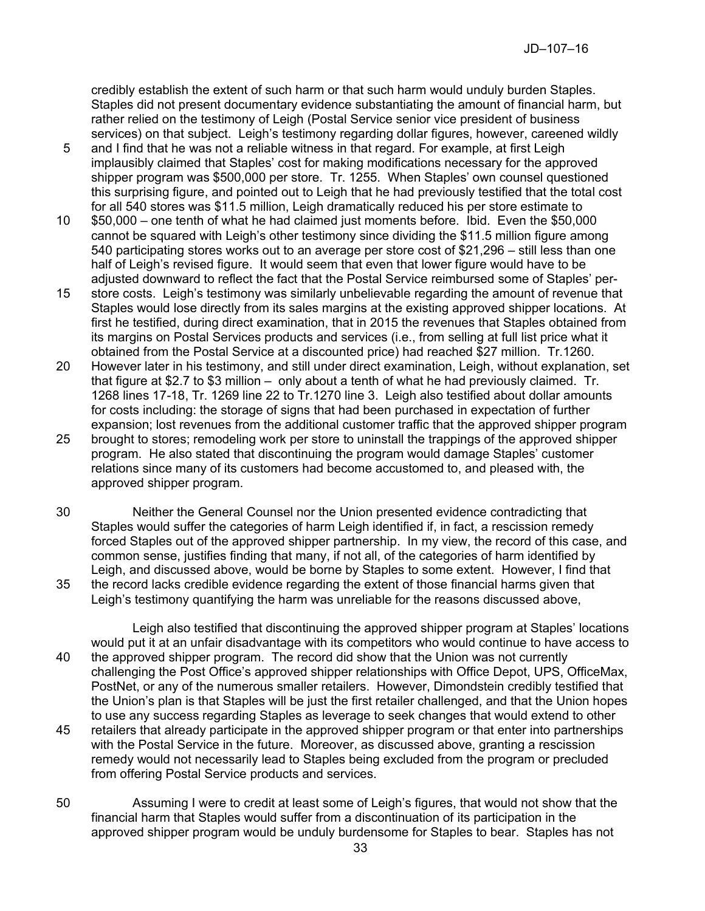credibly establish the extent of such harm or that such harm would unduly burden Staples. Staples did not present documentary evidence substantiating the amount of financial harm, but rather relied on the testimony of Leigh (Postal Service senior vice president of business services) on that subject. Leigh's testimony regarding dollar figures, however, careened wildly

- 5 and I find that he was not a reliable witness in that regard. For example, at first Leigh implausibly claimed that Staples' cost for making modifications necessary for the approved shipper program was \$500,000 per store. Tr. 1255. When Staples' own counsel questioned this surprising figure, and pointed out to Leigh that he had previously testified that the total cost for all 540 stores was \$11.5 million, Leigh dramatically reduced his per store estimate to
- 10 \$50,000 one tenth of what he had claimed just moments before. Ibid. Even the \$50,000 cannot be squared with Leigh's other testimony since dividing the \$11.5 million figure among 540 participating stores works out to an average per store cost of \$21,296 – still less than one half of Leigh's revised figure. It would seem that even that lower figure would have to be adjusted downward to reflect the fact that the Postal Service reimbursed some of Staples' per-
- 15 store costs. Leigh's testimony was similarly unbelievable regarding the amount of revenue that Staples would lose directly from its sales margins at the existing approved shipper locations. At first he testified, during direct examination, that in 2015 the revenues that Staples obtained from its margins on Postal Services products and services (i.e., from selling at full list price what it obtained from the Postal Service at a discounted price) had reached \$27 million. Tr.1260.
- 20 However later in his testimony, and still under direct examination, Leigh, without explanation, set that figure at \$2.7 to \$3 million – only about a tenth of what he had previously claimed. Tr. 1268 lines 17-18, Tr. 1269 line 22 to Tr.1270 line 3. Leigh also testified about dollar amounts for costs including: the storage of signs that had been purchased in expectation of further expansion; lost revenues from the additional customer traffic that the approved shipper program
- 25 brought to stores; remodeling work per store to uninstall the trappings of the approved shipper program. He also stated that discontinuing the program would damage Staples' customer relations since many of its customers had become accustomed to, and pleased with, the approved shipper program.
- 30 Neither the General Counsel nor the Union presented evidence contradicting that Staples would suffer the categories of harm Leigh identified if, in fact, a rescission remedy forced Staples out of the approved shipper partnership. In my view, the record of this case, and common sense, justifies finding that many, if not all, of the categories of harm identified by Leigh, and discussed above, would be borne by Staples to some extent. However, I find that 35 the record lacks credible evidence regarding the extent of those financial harms given that Leigh's testimony quantifying the harm was unreliable for the reasons discussed above,

Leigh also testified that discontinuing the approved shipper program at Staples' locations would put it at an unfair disadvantage with its competitors who would continue to have access to 40 the approved shipper program. The record did show that the Union was not currently challenging the Post Office's approved shipper relationships with Office Depot, UPS, OfficeMax, PostNet, or any of the numerous smaller retailers. However, Dimondstein credibly testified that the Union's plan is that Staples will be just the first retailer challenged, and that the Union hopes to use any success regarding Staples as leverage to seek changes that would extend to other 45 retailers that already participate in the approved shipper program or that enter into partnerships with the Postal Service in the future. Moreover, as discussed above, granting a rescission remedy would not necessarily lead to Staples being excluded from the program or precluded from offering Postal Service products and services.

50 Assuming I were to credit at least some of Leigh's figures, that would not show that the financial harm that Staples would suffer from a discontinuation of its participation in the approved shipper program would be unduly burdensome for Staples to bear. Staples has not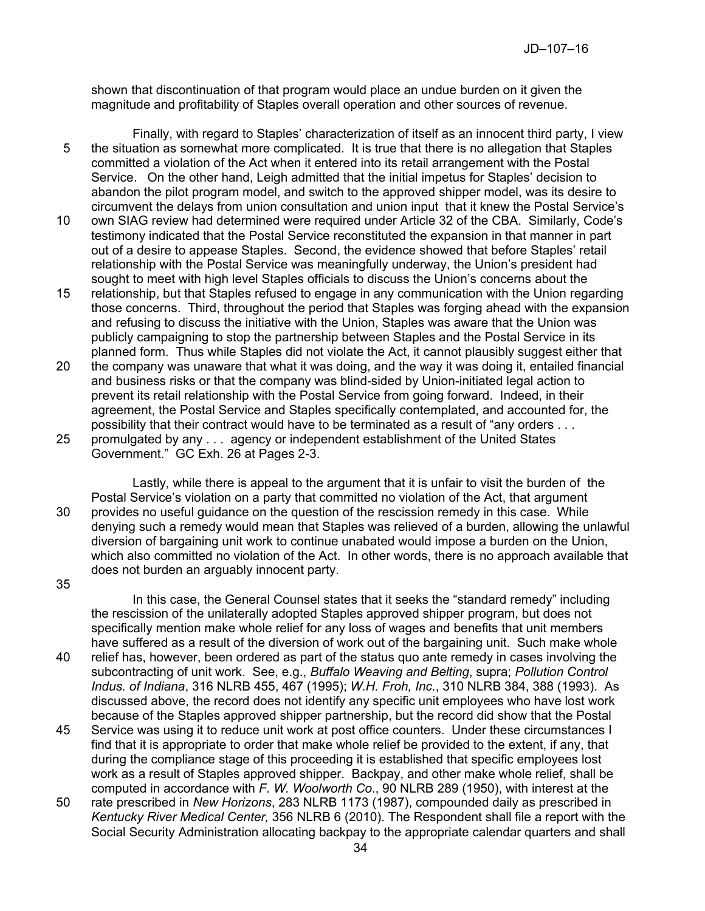shown that discontinuation of that program would place an undue burden on it given the magnitude and profitability of Staples overall operation and other sources of revenue.

- Finally, with regard to Staples' characterization of itself as an innocent third party, I view 5 the situation as somewhat more complicated. It is true that there is no allegation that Staples committed a violation of the Act when it entered into its retail arrangement with the Postal Service. On the other hand, Leigh admitted that the initial impetus for Staples' decision to abandon the pilot program model, and switch to the approved shipper model, was its desire to circumvent the delays from union consultation and union input that it knew the Postal Service's
- 10 own SIAG review had determined were required under Article 32 of the CBA. Similarly, Code's testimony indicated that the Postal Service reconstituted the expansion in that manner in part out of a desire to appease Staples. Second, the evidence showed that before Staples' retail relationship with the Postal Service was meaningfully underway, the Union's president had sought to meet with high level Staples officials to discuss the Union's concerns about the
- 15 relationship, but that Staples refused to engage in any communication with the Union regarding those concerns. Third, throughout the period that Staples was forging ahead with the expansion and refusing to discuss the initiative with the Union, Staples was aware that the Union was publicly campaigning to stop the partnership between Staples and the Postal Service in its planned form. Thus while Staples did not violate the Act, it cannot plausibly suggest either that
- 20 the company was unaware that what it was doing, and the way it was doing it, entailed financial and business risks or that the company was blind-sided by Union-initiated legal action to prevent its retail relationship with the Postal Service from going forward. Indeed, in their agreement, the Postal Service and Staples specifically contemplated, and accounted for, the possibility that their contract would have to be terminated as a result of "any orders . . .
- 25 promulgated by any . . . agency or independent establishment of the United States Government." GC Exh. 26 at Pages 2-3.

Lastly, while there is appeal to the argument that it is unfair to visit the burden of the Postal Service's violation on a party that committed no violation of the Act, that argument 30 provides no useful guidance on the question of the rescission remedy in this case. While denying such a remedy would mean that Staples was relieved of a burden, allowing the unlawful diversion of bargaining unit work to continue unabated would impose a burden on the Union, which also committed no violation of the Act. In other words, there is no approach available that does not burden an arguably innocent party.

35

In this case, the General Counsel states that it seeks the "standard remedy" including the rescission of the unilaterally adopted Staples approved shipper program, but does not specifically mention make whole relief for any loss of wages and benefits that unit members have suffered as a result of the diversion of work out of the bargaining unit. Such make whole

- 40 relief has, however, been ordered as part of the status quo ante remedy in cases involving the subcontracting of unit work. See, e.g., *Buffalo Weaving and Belting*, supra; *Pollution Control Indus. of Indiana*, 316 NLRB 455, 467 (1995); *W.H. Froh, Inc.*, 310 NLRB 384, 388 (1993). As discussed above, the record does not identify any specific unit employees who have lost work because of the Staples approved shipper partnership, but the record did show that the Postal
- 45 Service was using it to reduce unit work at post office counters. Under these circumstances I find that it is appropriate to order that make whole relief be provided to the extent, if any, that during the compliance stage of this proceeding it is established that specific employees lost work as a result of Staples approved shipper. Backpay, and other make whole relief, shall be computed in accordance with *F. W. Woolworth Co*., 90 NLRB 289 (1950), with interest at the
- 50 rate prescribed in *New Horizons*, 283 NLRB 1173 (1987), compounded daily as prescribed in *Kentucky River Medical Center,* 356 NLRB 6 (2010). The Respondent shall file a report with the Social Security Administration allocating backpay to the appropriate calendar quarters and shall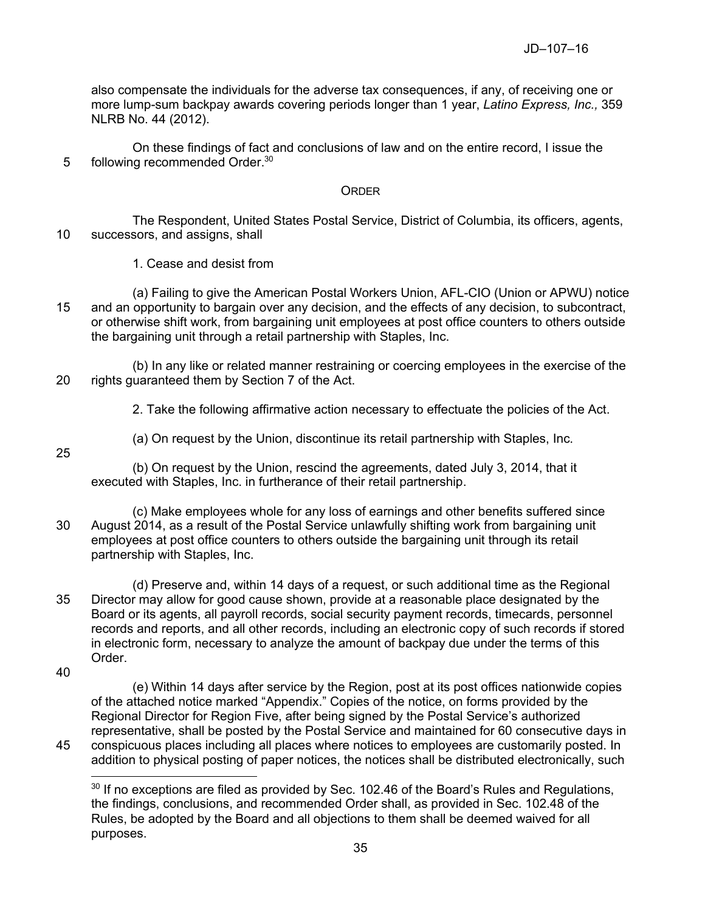also compensate the individuals for the adverse tax consequences, if any, of receiving one or more lump-sum backpay awards covering periods longer than 1 year, *Latino Express, Inc.,* 359 NLRB No. 44 (2012).

On these findings of fact and conclusions of law and on the entire record, I issue the 5 following recommended Order.<sup>30</sup>

## **ORDER**

The Respondent, United States Postal Service, District of Columbia, its officers, agents, 10 successors, and assigns, shall

1. Cease and desist from

(a) Failing to give the American Postal Workers Union, AFL-CIO (Union or APWU) notice 15 and an opportunity to bargain over any decision, and the effects of any decision, to subcontract, or otherwise shift work, from bargaining unit employees at post office counters to others outside the bargaining unit through a retail partnership with Staples, Inc.

(b) In any like or related manner restraining or coercing employees in the exercise of the 20 rights guaranteed them by Section 7 of the Act.

2. Take the following affirmative action necessary to effectuate the policies of the Act.

- (a) On request by the Union, discontinue its retail partnership with Staples, Inc.
- 25

(b) On request by the Union, rescind the agreements, dated July 3, 2014, that it executed with Staples, Inc. in furtherance of their retail partnership.

(c) Make employees whole for any loss of earnings and other benefits suffered since 30 August 2014, as a result of the Postal Service unlawfully shifting work from bargaining unit employees at post office counters to others outside the bargaining unit through its retail partnership with Staples, Inc.

(d) Preserve and, within 14 days of a request, or such additional time as the Regional 35 Director may allow for good cause shown, provide at a reasonable place designated by the Board or its agents, all payroll records, social security payment records, timecards, personnel records and reports, and all other records, including an electronic copy of such records if stored in electronic form, necessary to analyze the amount of backpay due under the terms of this Order.

40

 $\overline{a}$ 

(e) Within 14 days after service by the Region, post at its post offices nationwide copies of the attached notice marked "Appendix." Copies of the notice, on forms provided by the Regional Director for Region Five, after being signed by the Postal Service's authorized representative, shall be posted by the Postal Service and maintained for 60 consecutive days in 45 conspicuous places including all places where notices to employees are customarily posted. In addition to physical posting of paper notices, the notices shall be distributed electronically, such

 $30$  If no exceptions are filed as provided by Sec. 102.46 of the Board's Rules and Regulations, the findings, conclusions, and recommended Order shall, as provided in Sec. 102.48 of the Rules, be adopted by the Board and all objections to them shall be deemed waived for all purposes.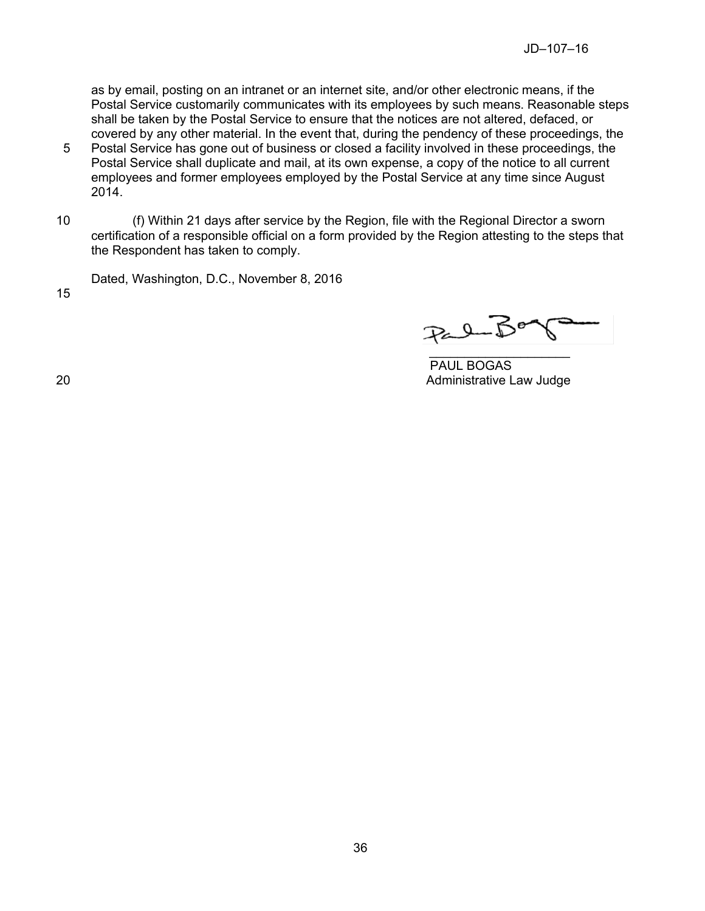as by email, posting on an intranet or an internet site, and/or other electronic means, if the Postal Service customarily communicates with its employees by such means. Reasonable steps shall be taken by the Postal Service to ensure that the notices are not altered, defaced, or covered by any other material. In the event that, during the pendency of these proceedings, the

- 5 Postal Service has gone out of business or closed a facility involved in these proceedings, the Postal Service shall duplicate and mail, at its own expense, a copy of the notice to all current employees and former employees employed by the Postal Service at any time since August 2014.
- 10 (f) Within 21 days after service by the Region, file with the Regional Director a sworn certification of a responsible official on a form provided by the Region attesting to the steps that the Respondent has taken to comply.

Dated, Washington, D.C., November 8, 2016

15

 $\overline{\phantom{a}}$  , and the contract of the contract of the contract of the contract of the contract of the contract of the contract of the contract of the contract of the contract of the contract of the contract of the contrac  $P_{\alpha}$   $\beta_{\alpha}$ 

 PAUL BOGAS 20 **Administrative Law Judge** 20 **Administrative Law Judge**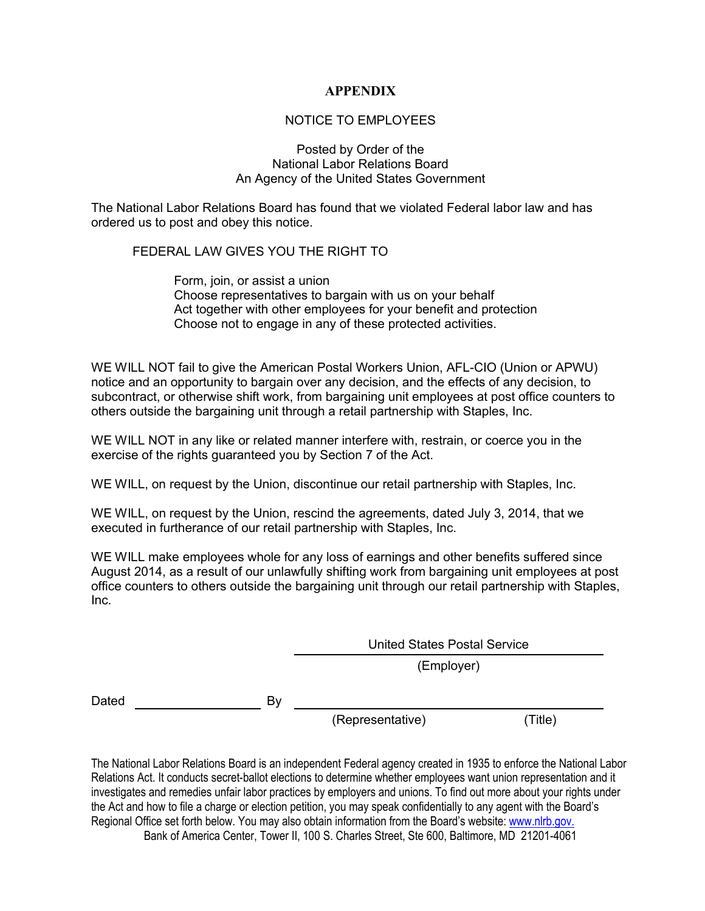## **APPENDIX**

# NOTICE TO EMPLOYEES

#### Posted by Order of the National Labor Relations Board An Agency of the United States Government

The National Labor Relations Board has found that we violated Federal labor law and has ordered us to post and obey this notice.

FEDERAL LAW GIVES YOU THE RIGHT TO

Form, join, or assist a union Choose representatives to bargain with us on your behalf Act together with other employees for your benefit and protection Choose not to engage in any of these protected activities.

WE WILL NOT fail to give the American Postal Workers Union, AFL-CIO (Union or APWU) notice and an opportunity to bargain over any decision, and the effects of any decision, to subcontract, or otherwise shift work, from bargaining unit employees at post office counters to others outside the bargaining unit through a retail partnership with Staples, Inc.

WE WILL NOT in any like or related manner interfere with, restrain, or coerce you in the exercise of the rights guaranteed you by Section 7 of the Act.

WE WILL, on request by the Union, discontinue our retail partnership with Staples, Inc.

WE WILL, on request by the Union, rescind the agreements, dated July 3, 2014, that we executed in furtherance of our retail partnership with Staples, Inc.

WE WILL make employees whole for any loss of earnings and other benefits suffered since August 2014, as a result of our unlawfully shifting work from bargaining unit employees at post office counters to others outside the bargaining unit through our retail partnership with Staples, Inc.

United States Postal Service

(Employer)

Dated By

(Representative) (Title)

The National Labor Relations Board is an independent Federal agency created in 1935 to enforce the National Labor Relations Act. It conducts secret-ballot elections to determine whether employees want union representation and it investigates and remedies unfair labor practices by employers and unions. To find out more about your rights under the Act and how to file a charge or election petition, you may speak confidentially to any agent with the Board's Regional Office set forth below. You may also obtain information from the Board's website: www.nlrb.gov. Bank of America Center, Tower II, 100 S. Charles Street, Ste 600, Baltimore, MD 21201-4061